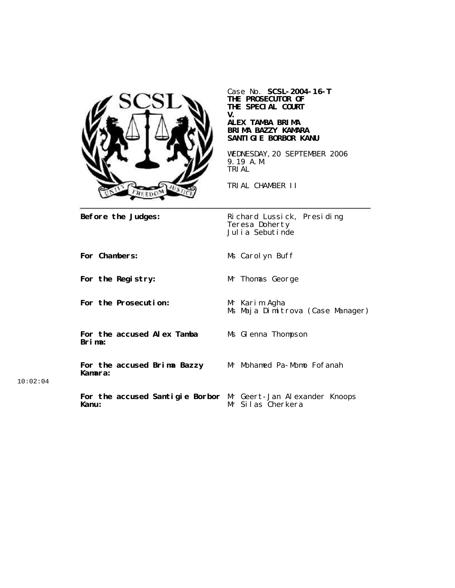

Case No. **SCSL-2004-16-T THE PROSECUTOR OF THE SPECIAL COURT V. ALEX TAMBA BRIMA BRIMA BAZZY KAMARA SANTIGIE BORBOR KANU**

WEDNESDAY,20 SEPTEMBER 2006 9.19 A.M. TRIAL

TRIAL CHAMBER II

**Before the Judges:** Richard Lussick, Presiding Teresa Doherty Julia Sebutinde

**For Chambers:** Ms Carolyn Buff

**For the Prosecution:** Mr Karim Agha

**For the accused Alex Tamba Brima:**

**For the accused Brima Bazzy Kamara:**

**For the Registry:** Mr Thomas George

Ms Maja Dimitrova (Case Manager)

Ms Glenna Thompson

Mr Mohamed Pa-Momo Fofanah

10:02:04

**For the accused Santigie Borbor** Mr Geert-Jan Alexander Knoops **Kanu:** Mr Silas Cherkera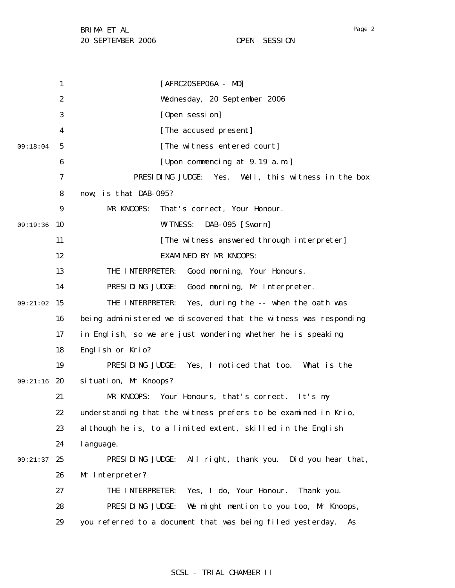1 2 3 4 5 6 7 8 9 09:19:36 10 11 12 13 14 09:21:02 15 16 17 18 19 09:21:16 20 21 22 23 24 09:21:37 25 26 27 28 29 09:18:04 [AFRC20SEP06A - MD] Wednesday, 20 September 2006 [Open session] [The accused present] [The witness entered court] [Upon commencing at 9.19 a.m.] PRESIDING JUDGE: Yes. Well, this witness in the box now, is that DAB-095? MR KNOOPS: That's correct, Your Honour. WITNESS: DAB-095 [Sworn] [The witness answered through interpreter] EXAMINED BY MR KNOOPS: THE INTERPRETER: Good morning, Your Honours. PRESIDING JUDGE: Good morning, Mr Interpreter. THE INTERPRETER: Yes, during the -- when the oath was being administered we discovered that the witness was responding in English, so we are just wondering whether he is speaking English or Krio? PRESIDING JUDGE: Yes, I noticed that too. What is the situation, Mr Knoops? MR KNOOPS: Your Honours, that's correct. It's my understanding that the witness prefers to be examined in Krio, although he is, to a limited extent, skilled in the English language. PRESIDING JUDGE: All right, thank you. Did you hear that, Mr Interpreter? THE INTERPRETER: Yes, I do, Your Honour. Thank you. PRESIDING JUDGE: We might mention to you too, Mr Knoops, you referred to a document that was being filed yesterday. As

#### SCSL - TRIAL CHAMBER II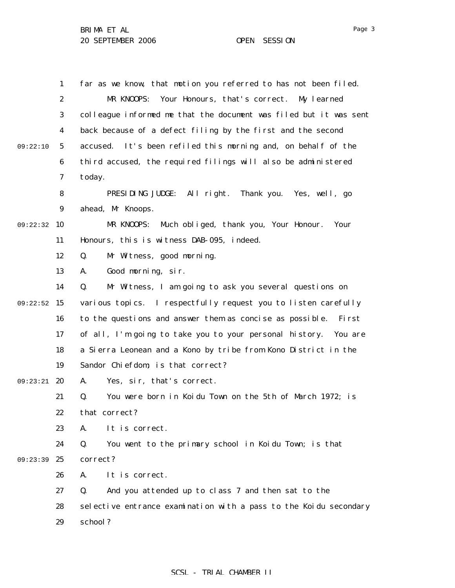|          | 1                | far as we know, that motion you referred to has not been filed.   |
|----------|------------------|-------------------------------------------------------------------|
|          | $\boldsymbol{2}$ | Your Honours, that's correct.<br>MR KNOOPS:<br>My learned         |
|          | 3                | colleague informed me that the document was filed but it was sent |
|          | $\boldsymbol{4}$ | back because of a defect filing by the first and the second       |
| 09:22:10 | 5                | It's been refiled this morning and, on behalf of the<br>accused.  |
|          | $\boldsymbol{6}$ | third accused, the required filings will also be administered     |
|          | 7                | today.                                                            |
|          | 8                | PRESIDING JUDGE: All right. Thank you. Yes, well, go              |
|          | 9                | ahead, Mr Knoops.                                                 |
| 09:22:32 | <b>10</b>        | Much obliged, thank you, Your Honour.<br>MR KNOOPS:<br>Your       |
|          | 11               | Honours, this is witness DAB-095, indeed.                         |
|          | 12               | Mr Witness, good morning.<br>Q.                                   |
|          | 13               | Good morning, sir.<br>A.                                          |
|          | 14               | Mr Witness, I am going to ask you several questions on<br>Q.      |
| 09:22:52 | 15               | various topics. I respectfully request you to listen carefully    |
|          | 16               | to the questions and answer them as concise as possible.<br>First |
|          | 17               | of all, I'm going to take you to your personal history. You are   |
|          | 18               | a Sierra Leonean and a Kono by tribe from Kono District in the    |
|          | 19               | Sandor Chiefdom; is that correct?                                 |
| 09:23:21 | 20               | Yes, sir, that's correct.<br>A.                                   |
|          | 21               | You were born in Koidu Town on the 5th of March 1972; is<br>Q.    |
|          | 22               | that correct?                                                     |
|          | 23               | It is correct.<br>A.                                              |
|          | 24               | You went to the primary school in Koidu Town; is that<br>Q.       |
| 09:23:39 | 25               | correct?                                                          |
|          | 26               | A.<br>It is correct.                                              |
|          | 27               | And you attended up to class 7 and then sat to the<br>Q.          |
|          | 28               | selective entrance examination with a pass to the Koidu secondary |
|          | 29               | school?                                                           |
|          |                  |                                                                   |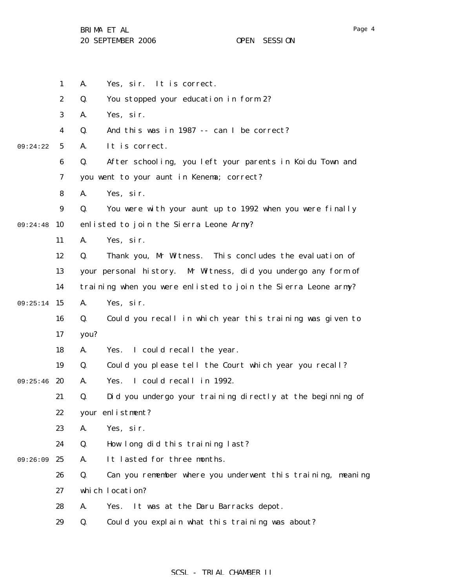|          | $\mathbf{1}$     | Yes, sir. It is correct.<br>A.                                    |
|----------|------------------|-------------------------------------------------------------------|
|          | $\boldsymbol{2}$ | Q.<br>You stopped your education in form 2?                       |
|          | 3                | Yes, sir.<br>A.                                                   |
|          | $\boldsymbol{4}$ | Q.<br>And this was in 1987 -- can I be correct?                   |
| 09:24:22 | $5\overline{ }$  | It is correct.<br>A.                                              |
|          | 6                | After schooling, you left your parents in Koidu Town and<br>Q.    |
|          | 7                | you went to your aunt in Kenema; correct?                         |
|          | 8                | A.<br>Yes, sir.                                                   |
|          | $\boldsymbol{9}$ | You were with your aunt up to 1992 when you were finally<br>Q.    |
| 09:24:48 | 10               | enlisted to join the Sierra Leone Army?                           |
|          | 11               | A.<br>Yes, sir.                                                   |
|          | 12               | Q.<br>Thank you, Mr Witness. This concludes the evaluation of     |
|          | 13               | your personal history. Mr Witness, did you undergo any form of    |
|          | 14               | training when you were enlisted to join the Sierra Leone army?    |
| 09:25:14 | 15               | A.<br>Yes, sir.                                                   |
|          | 16               | Q.<br>Could you recall in which year this training was given to   |
|          | 17               | you?                                                              |
|          | 18               | A.<br>I could recall the year.<br>Yes.                            |
|          | 19               | Q.<br>Could you please tell the Court which year you recall?      |
| 09:25:46 | 20               | I could recall in 1992.<br>A.<br>Yes.                             |
|          | 21               | Q.<br>Did you undergo your training directly at the beginning of  |
|          | 22               | your enlistment?                                                  |
|          | 23               | A.<br>Yes, sir.                                                   |
|          | 24               | Q.<br>How long did this training last?                            |
| 09:26:09 | 25               | It lasted for three months.<br>A.                                 |
|          | 26               | Q.<br>Can you remember where you underwent this training, meaning |
|          | 27               | which location?                                                   |
|          | 28               | A.<br>It was at the Daru Barracks depot.<br>Yes.                  |
|          | 29               | Q.<br>Could you explain what this training was about?             |

# SCSL - TRIAL CHAMBER II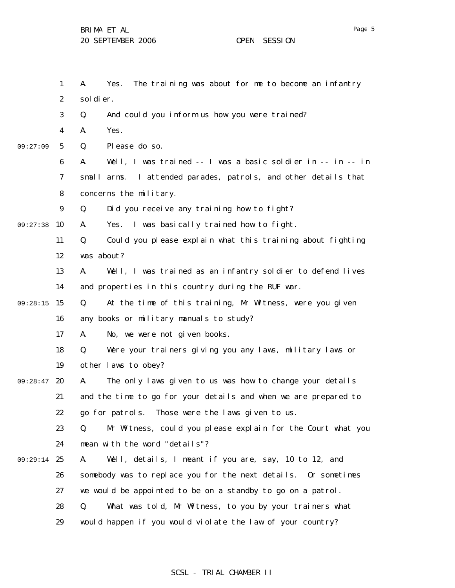1 2 3 4 5 6 7 8 9 09:27:38 10 11 12 13 14 09:28:15 15 16 17 18 19 09:28:47 20 21 22 23 24 09:29:14 25 26 27 28 29 09:27:09 A. Yes. The training was about for me to become an infantry soldier. Q. And could you inform us how you were trained? A. Yes. Q. Please do so. A. Well, I was trained -- I was a basic soldier in -- in -- in small arms. I attended parades, patrols, and other details that concerns the military. Q. Did you receive any training how to fight? A. Yes. I was basically trained how to fight. Q. Could you please explain what this training about fighting was about? A. Well, I was trained as an infantry soldier to defend lives and properties in this country during the RUF war. Q. At the time of this training, Mr Witness, were you given any books or military manuals to study? A. No, we were not given books. Q. Were your trainers giving you any laws, military laws or other laws to obey? A. The only laws given to us was how to change your details and the time to go for your details and when we are prepared to go for patrols. Those were the laws given to us. Q. Mr Witness, could you please explain for the Court what you mean with the word "details"? A. Well, details, I meant if you are, say, 10 to 12, and somebody was to replace you for the next details. Or sometimes we would be appointed to be on a standby to go on a patrol. Q. What was told, Mr Witness, to you by your trainers what would happen if you would violate the law of your country?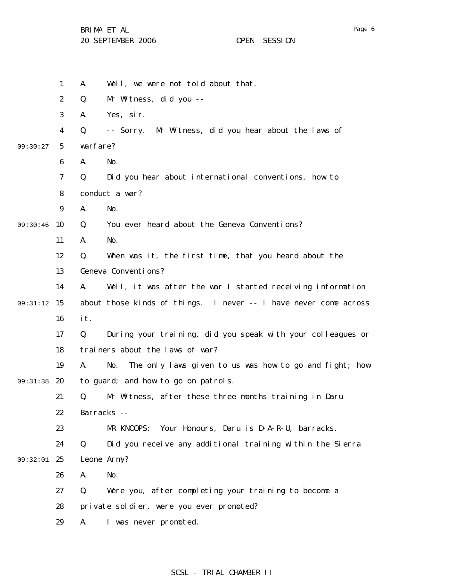|          | $\mathbf{1}$     | Well, we were not told about that.<br>A.                            |
|----------|------------------|---------------------------------------------------------------------|
|          | $\boldsymbol{2}$ | Q.<br>Mr Witness, did you --                                        |
|          | 3                | Yes, sir.<br>A.                                                     |
|          | $\boldsymbol{4}$ | Mr Witness, did you hear about the laws of<br>Q.<br>-- Sorry.       |
| 09:30:27 | $\sqrt{5}$       | warfare?                                                            |
|          | 6                | A.<br>No.                                                           |
|          | 7                | Q.<br>Did you hear about international conventions, how to          |
|          | 8                | conduct a war?                                                      |
|          | 9                | No.<br>A.                                                           |
| 09:30:46 | 10               | You ever heard about the Geneva Conventions?<br>Q.                  |
|          | 11               | A.<br>No.                                                           |
|          | 12               | When was it, the first time, that you heard about the<br>Q.         |
|          | 13               | Geneva Conventions?                                                 |
|          | 14               | Well, it was after the war I started receiving information<br>A.    |
| 09:31:12 | 15               | about those kinds of things. I never -- I have never come across    |
|          | 16               | it.                                                                 |
|          | 17               | During your training, did you speak with your colleagues or<br>Q.   |
|          | 18               | trainers about the laws of war?                                     |
|          | 19               | The only laws given to us was how to go and fight; how<br>A.<br>No. |
| 09:31:38 | 20               | to guard; and how to go on patrols.                                 |
|          | 21               | Mr Witness, after these three months training in Daru<br>Q.         |
|          | 22               | Barracks --                                                         |
|          | 23               | Your Honours, Daru is D-A-R-U, barracks.<br>MR KNOOPS:              |
|          | 24               | Did you receive any additional training within the Sierra<br>Q.     |
| 09:32:01 | 25               | Leone Army?                                                         |
|          | 26               | No.<br>A.                                                           |
|          | 27               | Were you, after completing your training to become a<br>Q.          |
|          | 28               | private soldier, were you ever promoted?                            |
|          | 29               | I was never promoted.<br>A.                                         |
|          |                  |                                                                     |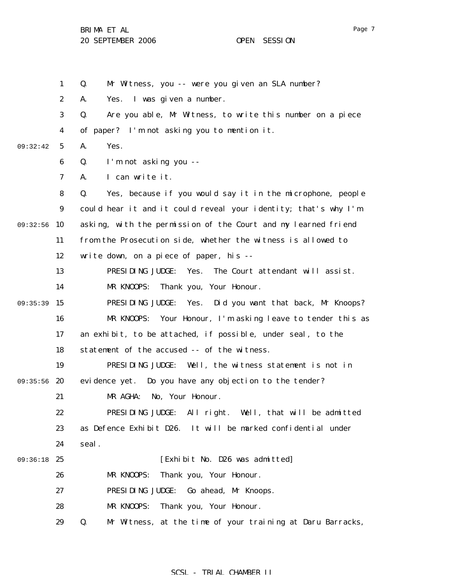1 2 3 4 5 6 7 8 9 09:32:56 10 11 12 13 14 09:35:39 15 16 17 18 19 09:35:56 20 21 22 23 24 09:36:18 25 26 27 28 29 09:32:42 Q. Mr Witness, you -- were you given an SLA number? A. Yes. I was given a number. Q. Are you able, Mr Witness, to write this number on a piece of paper? I'm not asking you to mention it. A. Yes. Q. I'm not asking you -- A. I can write it. Q. Yes, because if you would say it in the microphone, people could hear it and it could reveal your identity; that's why I'm asking, with the permission of the Court and my learned friend from the Prosecution side, whether the witness is allowed to write down, on a piece of paper, his -- PRESIDING JUDGE: Yes. The Court attendant will assist. MR KNOOPS: Thank you, Your Honour. PRESIDING JUDGE: Yes. Did you want that back, Mr Knoops? MR KNOOPS: Your Honour, I'm asking leave to tender this as an exhibit, to be attached, if possible, under seal, to the statement of the accused -- of the witness. PRESIDING JUDGE: Well, the witness statement is not in evidence yet. Do you have any objection to the tender? MR AGHA: No, Your Honour. PRESIDING JUDGE: All right. Well, that will be admitted as Defence Exhibit D26. It will be marked confidential under seal. [Exhibit No. D26 was admitted] MR KNOOPS: Thank you, Your Honour. PRESIDING JUDGE: Go ahead, Mr Knoops. MR KNOOPS: Thank you, Your Honour. Q. Mr Witness, at the time of your training at Daru Barracks,

## SCSL - TRIAL CHAMBER II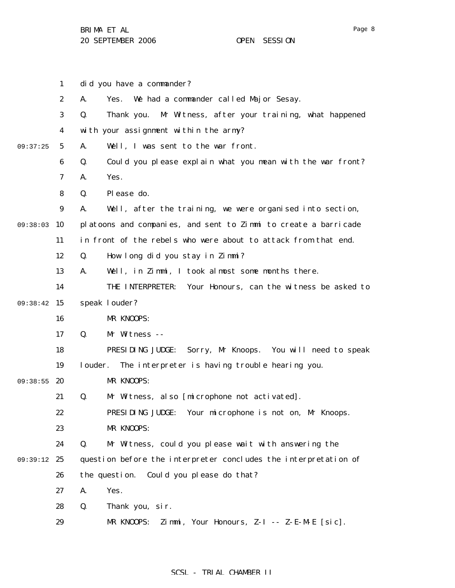1 2 3 4 5 6 7 8 9 09:38:03 10 11 12 13 14 09:38:42 15 16 17 18 19 09:38:55 20 21 22 23 24 09:39:12 25 26 27 28 29 09:37:25 did you have a commander? A. Yes. We had a commander called Major Sesay. Q. Thank you. Mr Witness, after your training, what happened with your assignment within the army? A. Well, I was sent to the war front. Q. Could you please explain what you mean with the war front? A. Yes. Q. Please do. A. Well, after the training, we were organised into section, platoons and companies, and sent to Zimmi to create a barricade in front of the rebels who were about to attack from that end. Q. How long did you stay in Zimmi? A. Well, in Zimmi, I took almost some months there. THE INTERPRETER: Your Honours, can the witness be asked to speak louder? MR KNOOPS: Q. Mr Witness -- PRESIDING JUDGE: Sorry, Mr Knoops. You will need to speak louder. The interpreter is having trouble hearing you. MR KNOOPS: Q. Mr Witness, also [microphone not activated]. PRESIDING JUDGE: Your microphone is not on, Mr Knoops. MR KNOOPS: Q. Mr Witness, could you please wait with answering the question before the interpreter concludes the interpretation of the question. Could you please do that? A. Yes. Q. Thank you, sir. MR KNOOPS: Zimmi, Your Honours, Z-I -- Z-E-M-E [sic].

## SCSL - TRIAL CHAMBER II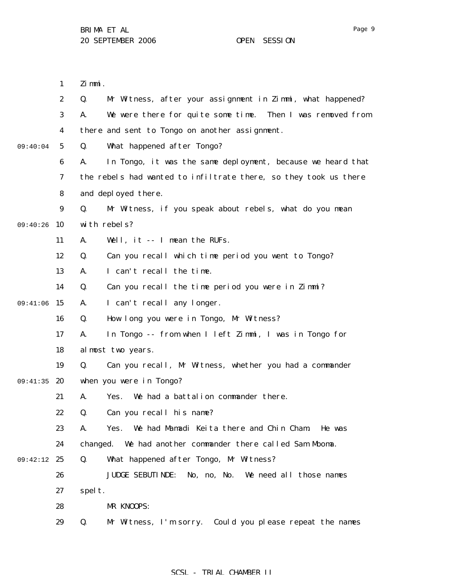1 2 3 4 5 6 7 8 9 09:40:26 10 11 12 13 14 09:41:06 15 16 17 18 19 09:41:35 20 21 22 23 24 09:42:12 25 26 27 28 29 09:40:04 Zimmi. Q. Mr Witness, after your assignment in Zimmi, what happened? A. We were there for quite some time. Then I was removed from there and sent to Tongo on another assignment. Q. What happened after Tongo? A. In Tongo, it was the same deployment, because we heard that the rebels had wanted to infiltrate there, so they took us there and deployed there. Q. Mr Witness, if you speak about rebels, what do you mean with rebels? A. Well, it -- I mean the RUFs. Q. Can you recall which time period you went to Tongo? A. I can't recall the time. Q. Can you recall the time period you were in Zimmi? A. I can't recall any longer. Q. How long you were in Tongo, Mr Witness? A. In Tongo -- from when I left Zimmi, I was in Tongo for almost two years. Q. Can you recall, Mr Witness, whether you had a commander when you were in Tongo? A. Yes. We had a battalion commander there. Q. Can you recall his name? A. Yes. We had Mamadi Keita there and Chin Cham. He was changed. We had another commander there called Sam Mboma. Q. What happened after Tongo, Mr Witness? JUDGE SEBUTINDE: No, no, No. We need all those names spelt. MR KNOOPS: Q. Mr Witness, I'm sorry. Could you please repeat the names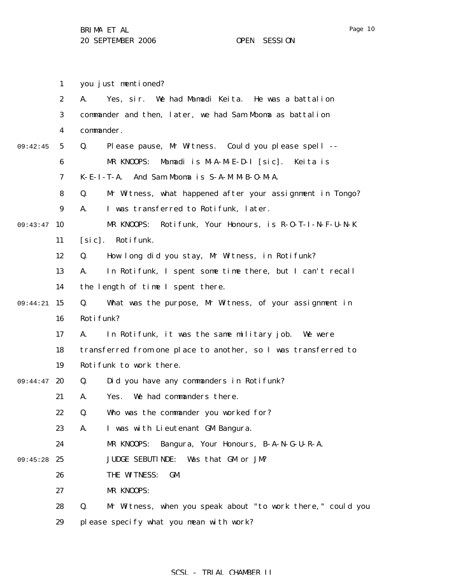you just mentioned?

1

2 3 4 5 6 7 8 9 09:43:47 10 11 12 13 14 09:44:21 15 16 17 18 19 09:44:47 20 21 22 23 24 09:45:28 25 26 27 28 29 09:42:45 A. Yes, sir. We had Mamadi Keita. He was a battalion commander and then, later, we had Sam Mboma as battalion commander. Q. Please pause, Mr Witness. Could you please spell -- MR KNOOPS: Mamadi is M-A-M-E-D-I [sic]. Keita is K-E-I-T-A. And Sam Mboma is S-A-M M-B-O-M-A. Q. Mr Witness, what happened after your assignment in Tongo? A. I was transferred to Rotifunk, later. MR KNOOPS: Rotifunk, Your Honours, is R-O-T-I-N-F-U-N-K [sic]. Rotifunk. Q. How long did you stay, Mr Witness, in Rotifunk? A. In Rotifunk, I spent some time there, but I can't recall the length of time I spent there. Q. What was the purpose, Mr Witness, of your assignment in Roti funk? A. In Rotifunk, it was the same military job. We were transferred from one place to another, so I was transferred to Rotifunk to work there. Q. Did you have any commanders in Rotifunk? A. Yes. We had commanders there. Q. Who was the commander you worked for? A. I was with Lieutenant GM Bangura. MR KNOOPS: Bangura, Your Honours, B-A-N-G-U-R-A. JUDGE SEBUTINDE: Was that GM or JM? THE WITNESS: GM. MR KNOOPS: Q. Mr Witness, when you speak about "to work there," could you please specify what you mean with work?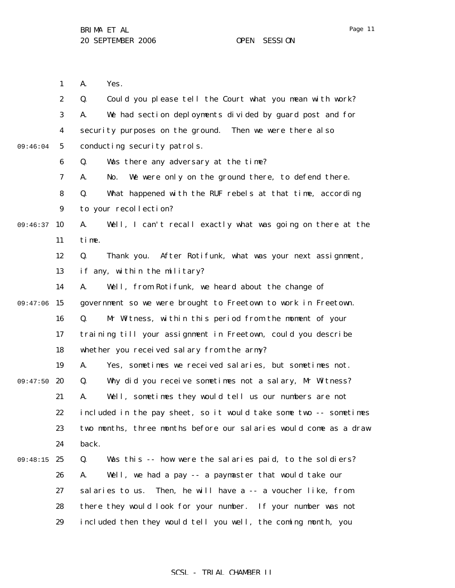Page 11

1 2 3 4 5 6 7 8 9 09:46:37 10 11 12 13 14 09:47:06 15 16 17 18 19 20 21 22 23 24 09:48:15 25 26 27 28 29 09:46:04 09:47:50 A. Yes. Q. Could you please tell the Court what you mean with work? A. We had section deployments divided by guard post and for security purposes on the ground. Then we were there also conducting security patrols. Q. Was there any adversary at the time? A. No. We were only on the ground there, to defend there. Q. What happened with the RUF rebels at that time, according to your recollection? A. Well, I can't recall exactly what was going on there at the time. Q. Thank you. After Rotifunk, what was your next assignment, if any, within the military? A. Well, from Rotifunk, we heard about the change of government so we were brought to Freetown to work in Freetown. Q. Mr Witness, within this period from the moment of your training till your assignment in Freetown, could you describe whether you received salary from the army? A. Yes, sometimes we received salaries, but sometimes not. Q. Why did you receive sometimes not a salary, Mr Witness? A. Well, sometimes they would tell us our numbers are not included in the pay sheet, so it would take some two -- sometimes two months, three months before our salaries would come as a draw back. Q. Was this -- how were the salaries paid, to the soldiers? A. Well, we had a pay -- a paymaster that would take our salaries to us. Then, he will have a -- a voucher like, from there they would look for your number. If your number was not included then they would tell you well, the coming month, you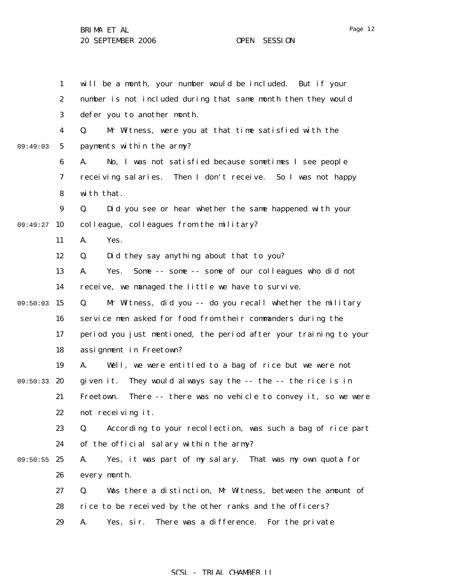|          | $\mathbf{1}$     | will be a month, your number would be included. But if your         |
|----------|------------------|---------------------------------------------------------------------|
|          | $\boldsymbol{2}$ | number is not included during that same month then they would       |
|          |                  |                                                                     |
|          | 3                | defer you to another month.                                         |
|          | 4                | Mr Witness, were you at that time satisfied with the<br>Q.          |
| 09:49:03 | $\mathbf{5}$     | payments within the army?                                           |
|          | 6                | No, I was not satisfied because sometimes I see people<br>A.        |
|          | 7                | receiving salaries.<br>Then I don't receive. So I was not happy     |
|          | 8                | with that.                                                          |
|          | $\boldsymbol{9}$ | Q.<br>Did you see or hear whether the same happened with your       |
| 09:49:27 | 10               | colleague, colleagues from the military?                            |
|          | 11               | Yes.<br>A.                                                          |
|          | 12               | Did they say anything about that to you?<br>Q.                      |
|          | 13               | Some -- some -- some of our colleagues who did not<br>Yes.<br>A.    |
|          | 14               | receive, we managed the little we have to survive.                  |
| 09:50:03 | 15               | Mr Witness, did you -- do you recall whether the military<br>Q.     |
|          | 16               | service men asked for food from their commanders during the         |
|          | 17               | period you just mentioned, the period after your training to your   |
|          | 18               | assignment in Freetown?                                             |
|          | 19               | Well, we were entitled to a bag of rice but we were not<br>A.       |
| 09:50:33 | 20               | They would always say the -- the -- the rice is in<br>given it.     |
|          | 21               | There -- there was no vehicle to convey it, so we were<br>Freetown. |
|          | 22               | not receiving it.                                                   |
|          | 23               | According to your recollection, was such a bag of rice part<br>Q.   |
|          | 24               | of the official salary within the army?                             |
| 09:50:55 | 25               | Yes, it was part of my salary. That was my own quota for<br>A.      |
|          | 26               | every month.                                                        |
|          | 27               | Was there a distinction, Mr Witness, between the amount of<br>Q.    |
|          | 28               | rice to be received by the other ranks and the officers?            |
|          | 29               | There was a difference.<br>Yes, sir.<br>For the private<br>A.       |

## SCSL - TRIAL CHAMBER II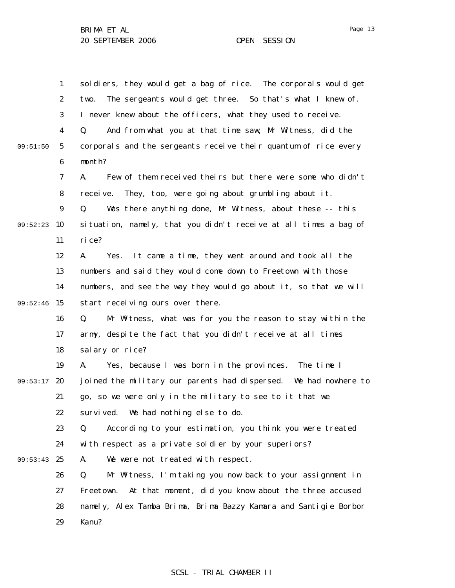1 2 3 4 5 6 7 8 9 09:52:23 10 11 12 13 14 09:52:46 15 16 17 18 19 09:53:17 20 21 22 23 24 09:53:43 25 26 27 28 29 09:51:50 soldiers, they would get a bag of rice. The corporals would get two. The sergeants would get three. So that's what I knew of. I never knew about the officers, what they used to receive. Q. And from what you at that time saw, Mr Witness, did the corporals and the sergeants receive their quantum of rice every month? A. Few of them received theirs but there were some who didn't receive. They, too, were going about grumbling about it. Q. Was there anything done, Mr Witness, about these -- this situation, namely, that you didn't receive at all times a bag of rice? A. Yes. It came a time, they went around and took all the numbers and said they would come down to Freetown with those numbers, and see the way they would go about it, so that we will start receiving ours over there. Q. Mr Witness, what was for you the reason to stay within the army, despite the fact that you didn't receive at all times salary or rice? A. Yes, because I was born in the provinces. The time I joined the military our parents had dispersed. We had nowhere to go, so we were only in the military to see to it that we survived. We had nothing else to do. Q. According to your estimation, you think you were treated with respect as a private soldier by your superiors? A. We were not treated with respect. Q. Mr Witness, I'm taking you now back to your assignment in Freetown. At that moment, did you know about the three accused namely, Alex Tamba Brima, Brima Bazzy Kamara and Santigie Borbor Kanu?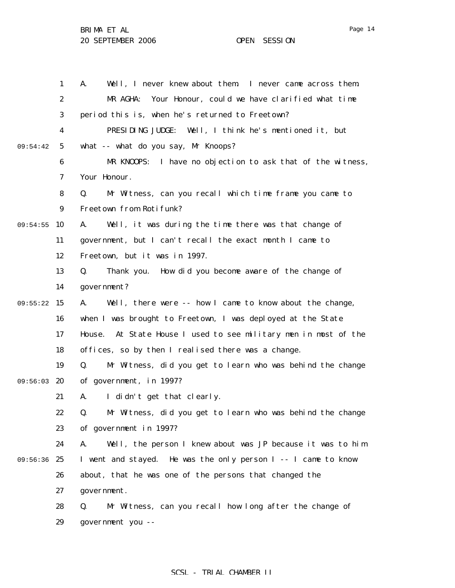Page 14

|          | $\mathbf{1}$     | Well, I never knew about them. I never came across them.<br>A.               |
|----------|------------------|------------------------------------------------------------------------------|
|          | $\boldsymbol{2}$ | Your Honour, could we have clarified what time<br>MR AGHA:                   |
|          | 3                | period this is, when he's returned to Freetown?                              |
|          | 4                | PRESIDING JUDGE: Well, I think he's mentioned it, but                        |
| 09:54:42 | $5\phantom{.0}$  | what -- what do you say, Mr Knoops?                                          |
|          | 6                | MR KNOOPS:<br>I have no objection to ask that of the witness,                |
|          | 7                | Your Honour.                                                                 |
|          | 8                | Mr Witness, can you recall which time frame you came to<br>Q.                |
|          | $\boldsymbol{9}$ | Freetown from Rotifunk?                                                      |
| 09:54:55 | 10               | Well, it was during the time there was that change of<br>A.                  |
|          | 11               | government, but I can't recall the exact month I came to                     |
|          | 12               | Freetown, but it was in 1997.                                                |
|          | 13               | Q.<br>Thank you. How did you become aware of the change of                   |
|          | 14               | government?                                                                  |
| 09:55:22 | 15               | A.<br>Well, there were -- how I came to know about the change,               |
|          | 16               | when I was brought to Freetown, I was deployed at the State                  |
|          | 17               | At State House I used to see military men in most of the<br>House.           |
|          | 18               | offices, so by then I realised there was a change.                           |
|          | 19               | Mr Witness, did you get to learn who was behind the change<br>Q.             |
| 09:56:03 | 20               | of government, in 1997?                                                      |
|          | 21               | I didn't get that clearly.<br>A.                                             |
|          | 22               | Mr Witness, did you get to learn who was behind the change<br>$\mathbf{0}$ . |
|          | 23               | of government in 1997?                                                       |
|          | 24               | Well, the person I knew about was JP because it was to him<br>A.             |
| 09:56:36 | 25               | I went and stayed. He was the only person I -- I came to know                |
|          | 26               | about, that he was one of the persons that changed the                       |
|          | 27               | government.                                                                  |
|          | 28               | Mr Witness, can you recall how long after the change of<br>Q.                |
|          | 29               | government you --                                                            |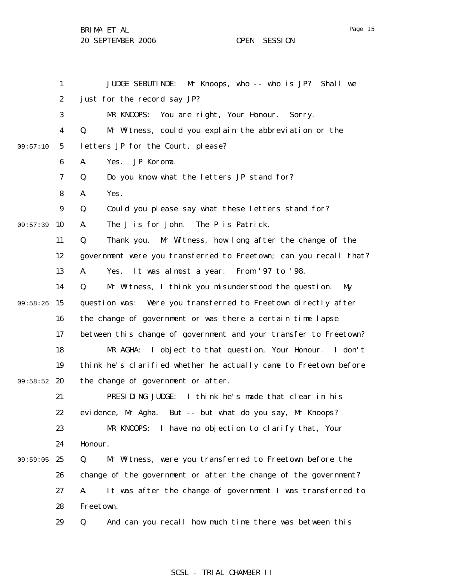BRIMA ET AL

20 SEPTEMBER 2006 OPEN SESSION

1 2 3 4 5 6 7 8 9 09:57:39 10 11 12 13 14 09:58:26 15 16 17 18 19 09:58:52 20 21 22 23 24 09:59:05 25 26 27 28 29 09:57:10 JUDGE SEBUTINDE: Mr Knoops, who -- who is JP? Shall we just for the record say JP? MR KNOOPS: You are right, Your Honour. Sorry. Q. Mr Witness, could you explain the abbreviation or the letters JP for the Court, please? A. Yes. JP Koroma. Q. Do you know what the letters JP stand for? A. Yes. Q. Could you please say what these letters stand for? A. The J is for John. The P is Patrick. Q. Thank you. Mr Witness, how long after the change of the government were you transferred to Freetown; can you recall that? A. Yes. It was almost a year. From '97 to '98. Q. Mr Witness, I think you misunderstood the question. My question was: Were you transferred to Freetown directly after the change of government or was there a certain time lapse between this change of government and your transfer to Freetown? MR AGHA: I object to that question, Your Honour. I don't think he's clarified whether he actually came to Freetown before the change of government or after. PRESIDING JUDGE: I think he's made that clear in his evidence, Mr Agha. But -- but what do you say, Mr Knoops? MR KNOOPS: I have no objection to clarify that, Your Honour. Q. Mr Witness, were you transferred to Freetown before the change of the government or after the change of the government? A. It was after the change of government I was transferred to Freetown. Q. And can you recall how much time there was between this

## SCSL - TRIAL CHAMBER II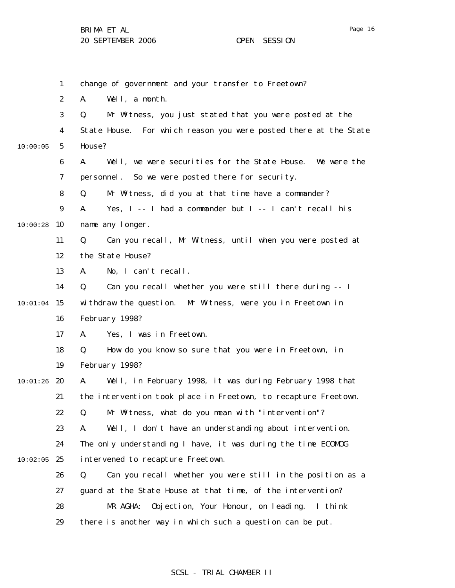|          | $\mathbf{1}$     | change of government and your transfer to Freetown?                 |
|----------|------------------|---------------------------------------------------------------------|
|          | $\boldsymbol{2}$ | Well, a month.<br>A.                                                |
|          | 3                | Mr Witness, you just stated that you were posted at the<br>Q.       |
|          | 4                | For which reason you were posted there at the State<br>State House. |
| 10:00:05 | $\mathbf{5}$     | House?                                                              |
|          | 6                | Well, we were securities for the State House. We were the<br>A.     |
|          | 7                | personnel. So we were posted there for security.                    |
|          | 8                | Mr Witness, did you at that time have a commander?<br>Q.            |
|          | $\boldsymbol{9}$ | Yes, I -- I had a commander but I -- I can't recall his<br>A.       |
| 10:00:28 | 10               | name any longer.                                                    |
|          | 11               | Can you recall, Mr Witness, until when you were posted at<br>Q.     |
|          | 12               | the State House?                                                    |
|          | 13               | No, I can't recall.<br>A.                                           |
|          | 14               | Can you recall whether you were still there during -- I<br>Q.       |
| 10:01:04 | 15               | withdraw the question. Mr Witness, were you in Freetown in          |
|          | 16               | February 1998?                                                      |
|          | 17               | Yes, I was in Freetown.<br>A.                                       |
|          | 18               | How do you know so sure that you were in Freetown, in<br>Q.         |
|          | 19               | February 1998?                                                      |
| 10:01:26 | 20               | Well, in February 1998, it was during February 1998 that<br>A.      |
|          | 21               | the intervention took place in Freetown, to recapture Freetown.     |
|          | 22               | Mr Witness, what do you mean with "intervention"?<br>Q.             |
|          | 23               | Well, I don't have an understanding about intervention.<br>A.       |
|          | 24               | The only understanding I have, it was during the time ECOMDG        |
| 10:02:05 | 25               | intervened to recapture Freetown.                                   |
|          | 26               | Can you recall whether you were still in the position as a<br>Q.    |
|          | 27               | guard at the State House at that time, of the intervention?         |
|          | 28               | Objection, Your Honour, on leading.<br>MR AGHA:<br>I think          |
|          | 29               | there is another way in which such a question can be put.           |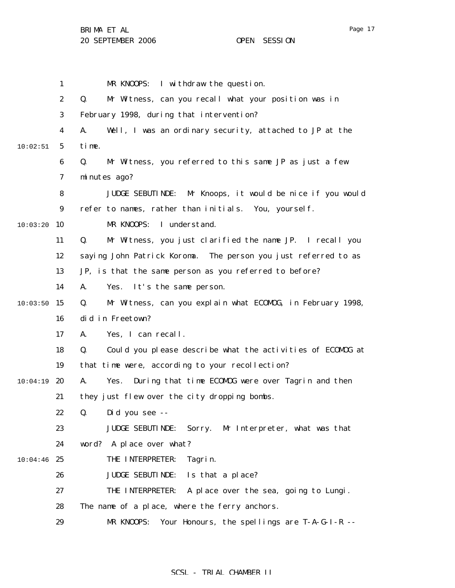|          | 1                | I withdraw the question.<br>MR KNOOPS:                              |
|----------|------------------|---------------------------------------------------------------------|
|          | $\boldsymbol{2}$ | Q.<br>Mr Witness, can you recall what your position was in          |
|          | 3                | February 1998, during that intervention?                            |
|          | 4                | Well, I was an ordinary security, attached to JP at the<br>A.       |
| 10:02:51 | $5\phantom{.0}$  | time.                                                               |
|          | 6                | Q.<br>Mr Witness, you referred to this same JP as just a few        |
|          | 7                | minutes ago?                                                        |
|          | 8                | Mr Knoops, it would be nice if you would<br><b>JUDGE SEBUTINDE:</b> |
|          | 9                | refer to names, rather than initials. You, yourself.                |
| 10:03:20 | 10               | I understand.<br>MR KNOOPS:                                         |
|          | 11               | Mr Witness, you just clarified the name JP. I recall you<br>Q.      |
|          | 12               | saying John Patrick Koroma. The person you just referred to as      |
|          | 13               | JP, is that the same person as you referred to before?              |
|          | 14               | A.<br>It's the same person.<br>Yes.                                 |
| 10:03:50 | 15               | Q.<br>Mr Witness, can you explain what ECOMOG, in February 1998,    |
|          | 16               | did in Freetown?                                                    |
|          | 17               | Yes, I can recall.<br>A.                                            |
|          | 18               | Q.<br>Could you please describe what the activities of ECOMDG at    |
|          | 19               | that time were, according to your recollection?                     |
| 10:04:19 | 20               | Yes. During that time ECOMDG were over Tagrin and then<br>A.        |
|          | 21               | they just flew over the city dropping bombs.                        |
|          | 22               | Q. Did you see --                                                   |
|          | 23               | <b>JUDGE SEBUTINDE:</b><br>Sorry. Mr Interpreter, what was that     |
|          | 24               | word? A place over what?                                            |
| 10:04:46 | 25               | THE INTERPRETER:<br>Tagrin.                                         |
|          | 26               | <b>JUDGE SEBUTINDE:</b><br>Is that a place?                         |
|          | 27               | THE INTERPRETER:<br>A place over the sea, going to Lungi.           |
|          | 28               | The name of a place, where the ferry anchors.                       |
|          | 29               | MR KNOOPS:<br>Your Honours, the spellings are T-A-G-I-R --          |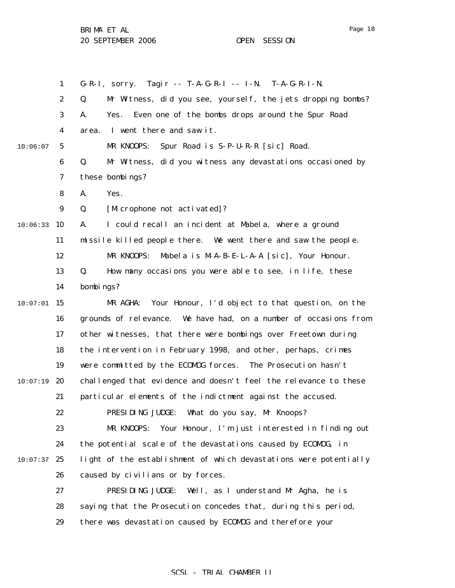1 2 3 4 5 6 7 8 9 10:06:33 10 11 12 13 14  $10:07:01$  15 16 17 18 19  $10:07:19$  20 21 22 23 24  $10:07:37$  25 26 27 28 29 10:06:07 G-R-I, sorry. Tagir -- T-A-G-R-I -- I-N. T-A-G-R-I-N. Q. Mr Witness, did you see, yourself, the jets dropping bombs? A. Yes. Even one of the bombs drops around the Spur Road area. I went there and saw it. MR KNOOPS: Spur Road is S-P-U-R-R [sic] Road. Q. Mr Witness, did you witness any devastations occasioned by these bombings? A. Yes. Q. [Microphone not activated]? A. I could recall an incident at Mabela, where a ground missile killed people there. We went there and saw the people. MR KNOOPS: Mabela is M-A-B-E-L-A-A [sic], Your Honour. Q. How many occasions you were able to see, in life, these bombings? MR AGHA: Your Honour, I'd object to that question, on the grounds of relevance. We have had, on a number of occasions from other witnesses, that there were bombings over Freetown during the intervention in February 1998, and other, perhaps, crimes were committed by the ECOMOG forces. The Prosecution hasn't challenged that evidence and doesn't feel the relevance to these particular elements of the indictment against the accused. PRESIDING JUDGE: What do you say, Mr Knoops? MR KNOOPS: Your Honour, I'm just interested in finding out the potential scale of the devastations caused by ECOMOG, in light of the establishment of which devastations were potentially caused by civilians or by forces. PRESIDING JUDGE: Well, as I understand Mr Agha, he is saying that the Prosecution concedes that, during this period, there was devastation caused by ECOMOG and therefore your

## Page 18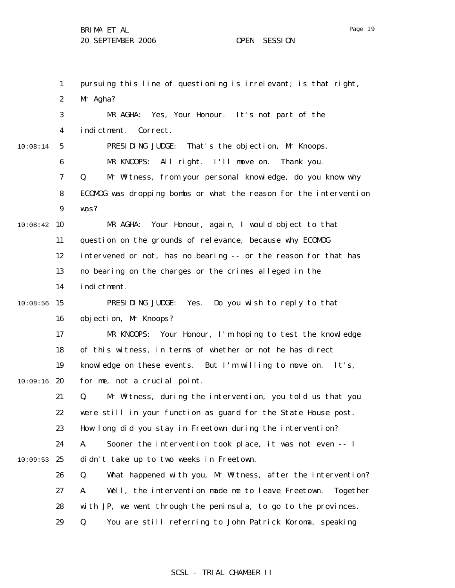1 2 3 4 5 6 7 8 9 10:08:42 10 11 12 13 14  $10:08:56$  15 16 17 18 19  $10:09:16$  20 21 22 23 24  $10:09:53$  25 26 27 28 29 10:08:14 pursuing this line of questioning is irrelevant; is that right, Mr Agha? MR AGHA: Yes, Your Honour. It's not part of the indictment. Correct. PRESIDING JUDGE: That's the objection, Mr Knoops. MR KNOOPS: All right. I'll move on. Thank you. Q. Mr Witness, from your personal knowledge, do you know why ECOMOG was dropping bombs or what the reason for the intervention was? MR AGHA: Your Honour, again, I would object to that question on the grounds of relevance, because why ECOMOG intervened or not, has no bearing -- or the reason for that has no bearing on the charges or the crimes alleged in the indictment. PRESIDING JUDGE: Yes. Do you wish to reply to that objection, Mr Knoops? MR KNOOPS: Your Honour, I'm hoping to test the knowledge of this witness, in terms of whether or not he has direct knowledge on these events. But I'm willing to move on. It's, for me, not a crucial point. Q. Mr Witness, during the intervention, you told us that you were still in your function as guard for the State House post. How long did you stay in Freetown during the intervention? A. Sooner the intervention took place, it was not even -- I didn't take up to two weeks in Freetown. Q. What happened with you, Mr Witness, after the intervention? A. Well, the intervention made me to leave Freetown. Together with JP, we went through the peninsula, to go to the provinces. Q. You are still referring to John Patrick Koroma, speaking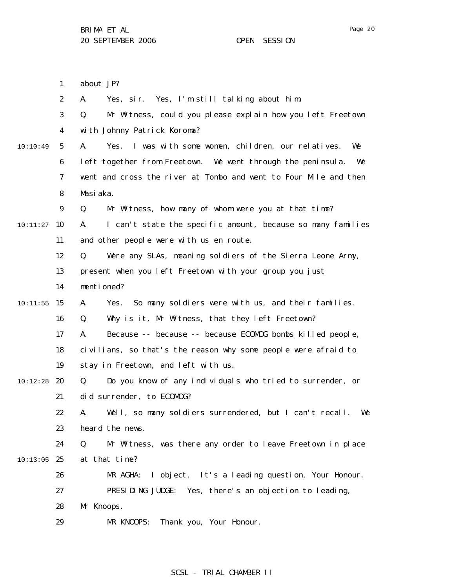Page 20

1 2 3 4 5 6 7 8 9 10:11:27 **10** 11 12 13 14  $10:11:55$  15 16 17 18 19  $10:12:28$  20 21 22 23 24  $10:13:05$  25 26 27 28 29 10:10:49 about JP? A. Yes, sir. Yes, I'm still talking about him. Q. Mr Witness, could you please explain how you left Freetown with Johnny Patrick Koroma? A. Yes. I was with some women, children, our relatives. We left together from Freetown. We went through the peninsula. We went and cross the river at Tombo and went to Four Mile and then Masiaka. Q. Mr Witness, how many of whom were you at that time? A. I can't state the specific amount, because so many families and other people were with us en route. Q. Were any SLAs, meaning soldiers of the Sierra Leone Army, present when you left Freetown with your group you just mentioned? A. Yes. So many soldiers were with us, and their families. Q. Why is it, Mr Witness, that they left Freetown? A. Because -- because -- because ECOMOG bombs killed people, civilians, so that's the reason why some people were afraid to stay in Freetown, and left with us. Q. Do you know of any individuals who tried to surrender, or did surrender, to ECOMOG? A. Well, so many soldiers surrendered, but I can't recall. We heard the news. Q. Mr Witness, was there any order to leave Freetown in place at that time? MR AGHA: I object. It's a leading question, Your Honour. PRESIDING JUDGE: Yes, there's an objection to leading, Mr Knoops. MR KNOOPS: Thank you, Your Honour.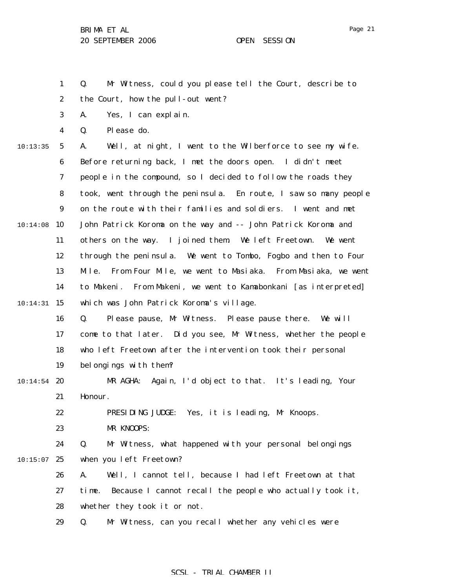1 2 Q. Mr Witness, could you please tell the Court, describe to the Court, how the pull-out went?

3 A. Yes, I can explain.

4 Q. Please do.

5 6 7 8 9 10:14:08 10 11 12 13 14 10:14:31 15 16 17 10:13:35 A. Well, at night, I went to the Wilberforce to see my wife. Before returning back, I met the doors open. I didn't meet people in the compound, so I decided to follow the roads they took, went through the peninsula. En route, I saw so many people on the route with their families and soldiers. I went and met John Patrick Koroma on the way and -- John Patrick Koroma and others on the way. I joined them. We left Freetown. We went through the peninsula. We went to Tombo, Fogbo and then to Four Mile. From Four Mile, we went to Masiaka. From Masiaka, we went to Makeni. From Makeni, we went to Kamabonkani [as interpreted] which was John Patrick Koroma's village. Q. Please pause, Mr Witness. Please pause there. We will come to that later. Did you see, Mr Witness, whether the people

18 19 who left Freetown after the intervention took their personal belongings with them?

#### $10:14:54$  20 21 MR AGHA: Again, I'd object to that. It's leading, Your Honour.

PRESIDING JUDGE: Yes, it is leading, Mr Knoops.

23 MR KNOOPS:

22

24  $10:15:07$  25 Q. Mr Witness, what happened with your personal belongings when you left Freetown?

26 27 28 A. Well, I cannot tell, because I had left Freetown at that time. Because I cannot recall the people who actually took it, whether they took it or not.

29 Q. Mr Witness, can you recall whether any vehicles were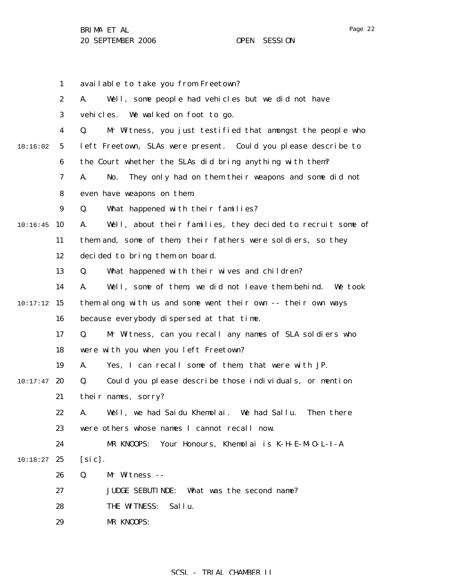|          | $\mathbf{1}$     | available to take you from Freetown?                               |
|----------|------------------|--------------------------------------------------------------------|
|          | $\boldsymbol{2}$ | Well, some people had vehicles but we did not have<br>A.           |
|          | 3                | vehi cl es.<br>We walked on foot to go.                            |
|          | 4                | Mr Witness, you just testified that amongst the people who<br>Q.   |
| 10:16:02 | 5                | left Freetown, SLAs were present. Could you please describe to     |
|          | 6                | the Court whether the SLAs did bring anything with them?           |
|          | 7                | They only had on them their weapons and some did not<br>A.<br>No.  |
|          | 8                | even have weapons on them.                                         |
|          | $\boldsymbol{9}$ | What happened with their families?<br>Q.                           |
| 10:16:45 | 10               | Well, about their families, they decided to recruit some of<br>A.  |
|          | 11               | them and, some of them, their fathers were soldiers, so they       |
|          | 12               | decided to bring them on board.                                    |
|          | 13               | What happened with their wives and children?<br>Q.                 |
|          | 14               | Well, some of them, we did not leave them behind.<br>A.<br>We took |
| 10:17:12 | 15               | them along with us and some went their own -- their own ways       |
|          | 16               | because everybody dispersed at that time.                          |
|          | 17               | Mr Witness, can you recall any names of SLA soldiers who<br>Q.     |
|          | 18               | were with you when you left Freetown?                              |
|          | 19               | Yes, I can recall some of them, that were with JP.<br>A.           |
| 10:17:47 | 20               | Could you please describe those individuals, or mention<br>Q.      |
|          | 21               | their names, sorry?                                                |
|          | 22               | Well, we had Saidu Khemolai. We had Sallu.<br>Then there<br>А.     |
|          | 23               | were others whose names I cannot recall now.                       |
|          | 24               | Your Honours, Khemolai is K-H-E-M-O-L-I-A<br>MR KNOOPS:            |
| 10:18:27 | 25               | [sic].                                                             |
|          | 26               | Q.<br>Mr Witness --                                                |
|          | 27               | <b>JUDGE SEBUTINDE:</b><br>What was the second name?               |
|          | 28               | Sallu.<br>THE WITNESS:                                             |
|          |                  | MR KNOOPS:                                                         |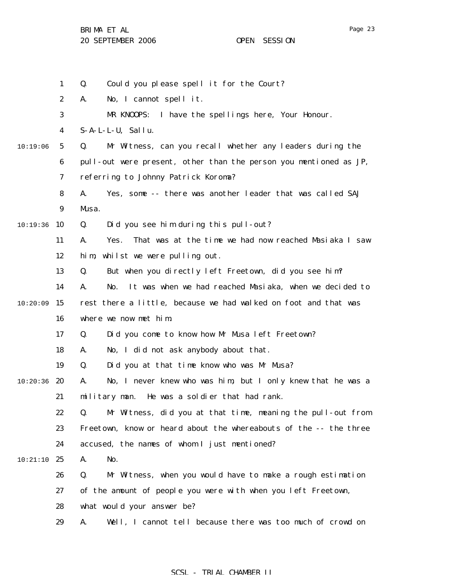|          | $\mathbf{1}$     | Could you please spell it for the Court?<br>Q.                      |
|----------|------------------|---------------------------------------------------------------------|
|          | $\boldsymbol{2}$ | No, I cannot spell it.<br>A.                                        |
|          | 3                | I have the spellings here, Your Honour.<br>MR KNOOPS:               |
|          | $\boldsymbol{4}$ | $S-A-L-L-U$ , Sallu.                                                |
| 10:19:06 | $\mathbf{5}$     | Mr Witness, can you recall whether any leaders during the<br>Q.     |
|          | $\boldsymbol{6}$ | pull-out were present, other than the person you mentioned as JP,   |
|          | 7                | referring to Johnny Patrick Koroma?                                 |
|          | 8                | Yes, some -- there was another leader that was called SAJ<br>A.     |
|          | 9                | Musa.                                                               |
| 10:19:36 | 10               | Did you see him during this pull-out?<br>Q.                         |
|          | 11               | That was at the time we had now reached Masiaka I saw<br>A.<br>Yes. |
|          | 12               | whilst we were pulling out.<br>hi m                                 |
|          | 13               | But when you directly left Freetown, did you see him?<br>Q.         |
|          | 14               | It was when we had reached Masiaka, when we decided to<br>No.<br>A. |
| 10:20:09 | 15               | rest there a little, because we had walked on foot and that was     |
|          | 16               | where we now met him.                                               |
|          | 17               | Q.<br>Did you come to know how Mr Musa left Freetown?               |
|          | 18               | No, I did not ask anybody about that.<br>A.                         |
|          | 19               | Did you at that time know who was Mr Musa?<br>Q.                    |
| 10:20:36 | 20               | No, I never knew who was him, but I only knew that he was a<br>A.   |
|          | 21               | He was a soldier that had rank.<br>military man.                    |
|          | 22               | Mr Witness, did you at that time, meaning the pull-out from<br>Q.   |
|          | 23               | Freetown, know or heard about the whereabouts of the -- the three   |
|          | 24               | accused, the names of whom I just mentioned?                        |
| 10:21:10 | 25               | No.<br>A.                                                           |
|          | 26               | Mr Witness, when you would have to make a rough estimation<br>Q.    |
|          | 27               | of the amount of people you were with when you left Freetown,       |
|          | 28               | what would your answer be?                                          |
|          | 29               | Well, I cannot tell because there was too much of crowd on<br>A.    |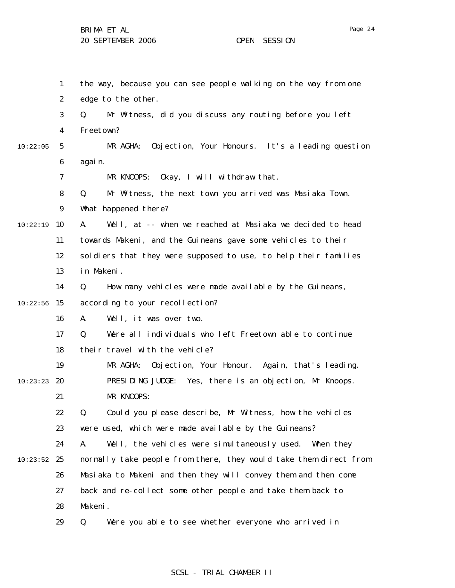|          | $\mathbf{1}$     | the way, because you can see people walking on the way from one   |
|----------|------------------|-------------------------------------------------------------------|
|          | $\boldsymbol{2}$ | edge to the other.                                                |
|          | 3                | Mr Witness, did you discuss any routing before you left<br>Q.     |
|          | $\boldsymbol{4}$ | Freetown?                                                         |
| 10:22:05 | $5\phantom{.0}$  | Objection, Your Honours. It's a leading question<br>MR AGHA:      |
|          | $\boldsymbol{6}$ | again.                                                            |
|          | 7                | MR KNOOPS:<br>Okay, I will withdraw that.                         |
|          | 8                | Mr Witness, the next town you arrived was Masiaka Town.<br>Q.     |
|          | 9                | What happened there?                                              |
| 10:22:19 | 10               | A.<br>Well, at -- when we reached at Masiaka we decided to head   |
|          | 11               | towards Makeni, and the Guineans gave some vehicles to their      |
|          | 12               | soldiers that they were supposed to use, to help their families   |
|          | 13               | in Makeni.                                                        |
|          | 14               | Q.<br>How many vehicles were made available by the Guineans,      |
| 10:22:56 | 15               | according to your recollection?                                   |
|          | 16               | Well, it was over two.<br>A.                                      |
|          | 17               | Were all individuals who left Freetown able to continue<br>Q.     |
|          | 18               | their travel with the vehicle?                                    |
|          | 19               | Objection, Your Honour. Again, that's leading.<br>MR AGHA:        |
| 10:23:23 | 20               | PRESIDING JUDGE: Yes, there is an objection, Mr Knoops.           |
|          | 21               | MR KNOOPS:                                                        |
|          | 22               | Could you please describe, Mr Witness, how the vehicles<br>Q.     |
|          | 23               | were used, which were made available by the Guineans?             |
|          | 24               | Well, the vehicles were simultaneously used. When they<br>A.      |
| 10:23:52 | 25               | normally take people from there, they would take them direct from |
|          | 26               | Masiaka to Makeni and then they will convey them and then come    |
|          | 27               | back and re-collect some other people and take them back to       |
|          | 28               | Makeni.                                                           |
|          | 29               | Q.<br>Were you able to see whether everyone who arrived in        |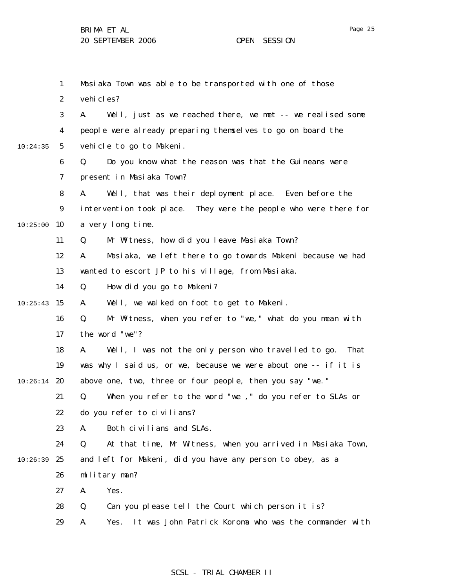1 2 3 4 5 6 7 8 9 10:25:00 10 11 12 13 14  $10:25:43$  15 16 17 18 19  $10:26:14$  20 21 22 23 24  $10:26:39$  25 26 27 28 29 10:24:35 Masiaka Town was able to be transported with one of those vehi cles? A. Well, just as we reached there, we met -- we realised some people were already preparing themselves to go on board the vehicle to go to Makeni. Q. Do you know what the reason was that the Guineans were present in Masiaka Town? A. Well, that was their deployment place. Even before the intervention took place. They were the people who were there for a very long time. Q. Mr Witness, how did you leave Masiaka Town? A. Masiaka, we left there to go towards Makeni because we had wanted to escort JP to his village, from Masiaka. Q. How did you go to Makeni? A. Well, we walked on foot to get to Makeni. Q. Mr Witness, when you refer to "we," what do you mean with the word "we"? A. Well, I was not the only person who travelled to go. That was why I said us, or we, because we were about one -- if it is above one, two, three or four people, then you say "we." Q. When you refer to the word "we ," do you refer to SLAs or do you refer to civilians? A. Both civilians and SLAs. Q. At that time, Mr Witness, when you arrived in Masiaka Town, and left for Makeni, did you have any person to obey, as a military man? A. Yes. Q. Can you please tell the Court which person it is? A. Yes. It was John Patrick Koroma who was the commander with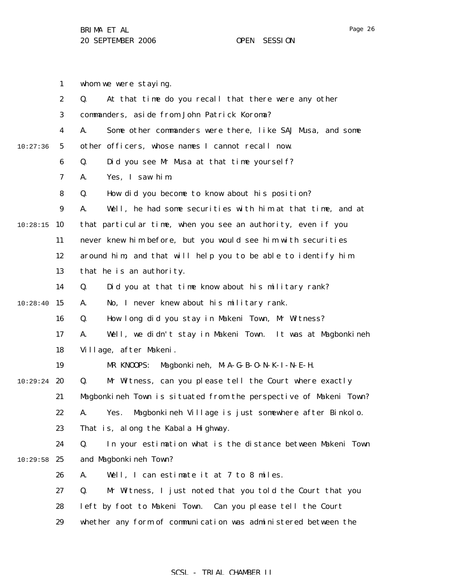1 2 3 4 5 6 7 8 9 10:28:15 10 11 12 13 14  $10:28:40$  15 16 17 18 19  $10:29:24$  20 21 22 23 24  $10:29:58$  25 26 27 28 29 10:27:36 whom we were staying. Q. At that time do you recall that there were any other commanders, aside from John Patrick Koroma? A. Some other commanders were there, like SAJ Musa, and some other officers, whose names I cannot recall now. Q. Did you see Mr Musa at that time yourself? A. Yes, I saw him. Q. How did you become to know about his position? A. Well, he had some securities with him at that time, and at that particular time, when you see an authority, even if you never knew him before, but you would see him with securities around him, and that will help you to be able to identify him that he is an authority. Q. Did you at that time know about his military rank? A. No, I never knew about his military rank. Q. How long did you stay in Makeni Town, Mr Witness? A. Well, we didn't stay in Makeni Town. It was at Magbonkineh Village, after Makeni. MR KNOOPS: Magbonkineh, M-A-G-B-O-N-K-I-N-E-H. Q. Mr Witness, can you please tell the Court where exactly Magbonkineh Town is situated from the perspective of Makeni Town? A. Yes. Magbonkineh Village is just somewhere after Binkolo. That is, along the Kabala Highway. Q. In your estimation what is the distance between Makeni Town and Magbonkineh Town? A. Well, I can estimate it at 7 to 8 miles. Q. Mr Witness, I just noted that you told the Court that you left by foot to Makeni Town. Can you please tell the Court whether any form of communication was administered between the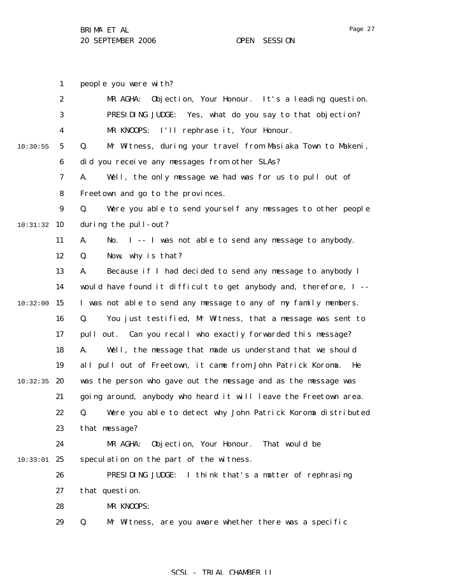people you were with?

1

Page 27

2 3 4 5 6 7 8 9 10:31:32 10 11 12 13 14  $10:32:00$  15 16 17 18 19  $10:32:35$  20 21 22 23 24 10:33:01 25 26 27 28 29 10:30:55 MR AGHA: Objection, Your Honour. It's a leading question. PRESIDING JUDGE: Yes, what do you say to that objection? MR KNOOPS: I'll rephrase it, Your Honour. Q. Mr Witness, during your travel from Masiaka Town to Makeni, did you receive any messages from other SLAs? A. Well, the only message we had was for us to pull out of Freetown and go to the provinces. Q. Were you able to send yourself any messages to other people during the pull-out? A. No. I -- I was not able to send any message to anybody. Q. Now, why is that? A. Because if I had decided to send any message to anybody I would have found it difficult to get anybody and, therefore, I -- I was not able to send any message to any of my family members. Q. You just testified, Mr Witness, that a message was sent to pull out. Can you recall who exactly forwarded this message? A. Well, the message that made us understand that we should all pull out of Freetown, it came from John Patrick Koroma. He was the person who gave out the message and as the message was going around, anybody who heard it will leave the Freetown area. Q. Were you able to detect why John Patrick Koroma distributed that message? MR AGHA: Objection, Your Honour. That would be speculation on the part of the witness. PRESIDING JUDGE: I think that's a matter of rephrasing that question. MR KNOOPS: Q. Mr Witness, are you aware whether there was a specific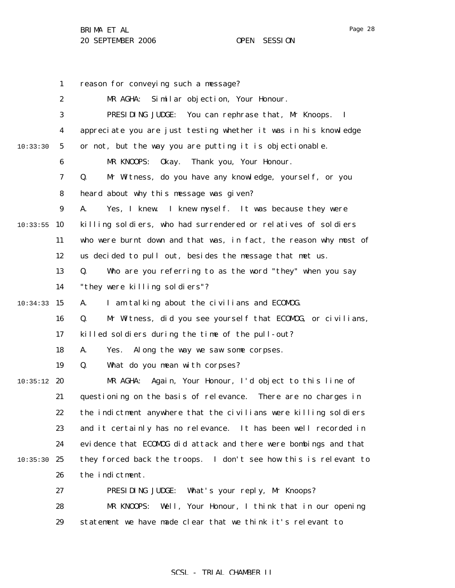|          | $\mathbf{1}$     | reason for conveying such a message?                                  |
|----------|------------------|-----------------------------------------------------------------------|
|          | $\boldsymbol{2}$ | MR AGHA:<br>Similar objection, Your Honour.                           |
|          | 3                | PRESIDING JUDGE:<br>You can rephrase that, Mr Knoops.<br>$\mathbf{I}$ |
|          | 4                | appreciate you are just testing whether it was in his knowledge       |
| 10:33:30 | $5\phantom{.0}$  | or not, but the way you are putting it is objectionable.              |
|          | 6                | MR KNOOPS:<br>Okay. Thank you, Your Honour.                           |
|          | 7                | Mr Witness, do you have any knowledge, yourself, or you<br>Q.         |
|          | 8                | heard about why this message was given?                               |
|          | $\boldsymbol{9}$ | A.<br>Yes, I knew. I knew myself. It was because they were            |
| 10:33:55 | 10               | killing soldiers, who had surrendered or relatives of soldiers        |
|          | 11               | who were burnt down and that was, in fact, the reason why most of     |
|          | 12               | us decided to pull out, besides the message that met us.              |
|          | 13               | Q.<br>Who are you referring to as the word "they" when you say        |
|          | 14               | "they were killing soldiers"?                                         |
| 10:34:33 | 15               | A.<br>I am talking about the civilians and ECOMDG.                    |
|          | 16               | Mr Witness, did you see yourself that ECOMDG, or civilians,<br>Q.     |
|          | 17               | killed soldiers during the time of the pull-out?                      |
|          | 18               | Along the way we saw some corpses.<br>A.<br>Yes.                      |
|          | 19               | Q.<br>What do you mean with corpses?                                  |
| 10:35:12 | 20               | Again, Your Honour, I'd object to this line of<br>MR AGHA:            |
|          | 21               | questioning on the basis of relevance. There are no charges in        |
|          | 22               | the indictment anywhere that the civilians were killing soldiers      |
|          | 23               | and it certainly has no relevance. It has been well recorded in       |
|          | 24               | evidence that ECOMOG did attack and there were bombings and that      |
| 10:35:30 | 25               | they forced back the troops. I don't see how this is relevant to      |
|          | 26               | the indictment.                                                       |
|          | 27               | What's your reply, Mr Knoops?<br>PRESIDING JUDGE:                     |
|          | 28               | Well, Your Honour, I think that in our opening<br>MR KNOOPS:          |
|          | 29               | statement we have made clear that we think it's relevant to           |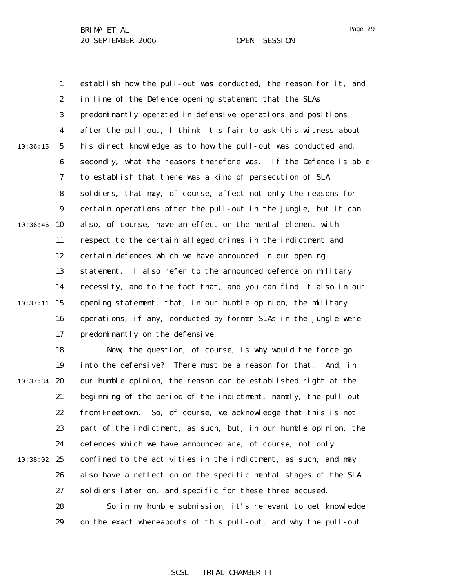1

establish how the pull-out was conducted, the reason for it, and

2 3 4 5 6 7 8 9  $10:36:46$  10 11 12 13 14  $10:37:11$  15 16 17 10:36:15 in line of the Defence opening statement that the SLAs predominantly operated in defensive operations and positions after the pull-out, I think it's fair to ask this witness about his direct knowledge as to how the pull-out was conducted and, secondly, what the reasons therefore was. If the Defence is able to establish that there was a kind of persecution of SLA soldiers, that may, of course, affect not only the reasons for certain operations after the pull-out in the jungle, but it can also, of course, have an effect on the mental element with respect to the certain alleged crimes in the indictment and certain defences which we have announced in our opening statement. I also refer to the announced defence on military necessity, and to the fact that, and you can find it also in our opening statement, that, in our humble opinion, the military operations, if any, conducted by former SLAs in the jungle were predominantly on the defensive.

18 19  $10:37:34$  20 21 22 23 24 10:38:02 25 26 27 28 Now, the question, of course, is why would the force go into the defensive? There must be a reason for that. And, in our humble opinion, the reason can be established right at the beginning of the period of the indictment, namely, the pull-out from Freetown. So, of course, we acknowledge that this is not part of the indictment, as such, but, in our humble opinion, the defences which we have announced are, of course, not only confined to the activities in the indictment, as such, and may also have a reflection on the specific mental stages of the SLA soldiers later on, and specific for these three accused. So in my humble submission, it's relevant to get knowledge

> 29 on the exact whereabouts of this pull-out, and why the pull-out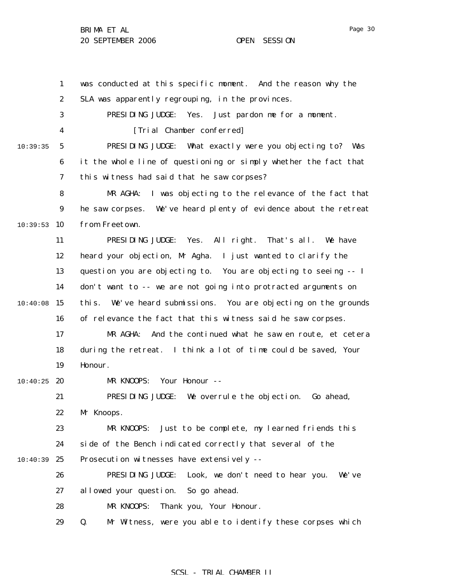1 2 3 4 5 6 7 8 9  $10:39:53$  10 11 12 13 14  $10:40:08$  15 16 17 18 19  $10:40:25$  20 21 22 23 24 10:40:39 25 26 27 28 29 10:39:35 was conducted at this specific moment. And the reason why the SLA was apparently regrouping, in the provinces. PRESIDING JUDGE: Yes. Just pardon me for a moment. [Trial Chamber conferred] PRESIDING JUDGE: What exactly were you objecting to? Was it the whole line of questioning or simply whether the fact that this witness had said that he saw corpses? MR AGHA: I was objecting to the relevance of the fact that he saw corpses. We've heard plenty of evidence about the retreat from Freetown. PRESIDING JUDGE: Yes. All right. That's all. We have heard your objection, Mr Agha. I just wanted to clarify the question you are objecting to. You are objecting to seeing -- I don't want to -- we are not going into protracted arguments on this. We've heard submissions. You are objecting on the grounds of relevance the fact that this witness said he saw corpses. MR AGHA: And the continued what he saw en route, et cetera during the retreat. I think a lot of time could be saved, Your Honour. MR KNOOPS: Your Honour -- PRESIDING JUDGE: We overrule the objection. Go ahead, Mr Knoops. MR KNOOPS: Just to be complete, my learned friends this side of the Bench indicated correctly that several of the Prosecution witnesses have extensively -- PRESIDING JUDGE: Look, we don't need to hear you. We've allowed your question. So go ahead. MR KNOOPS: Thank you, Your Honour. Q. Mr Witness, were you able to identify these corpses which

## SCSL - TRIAL CHAMBER II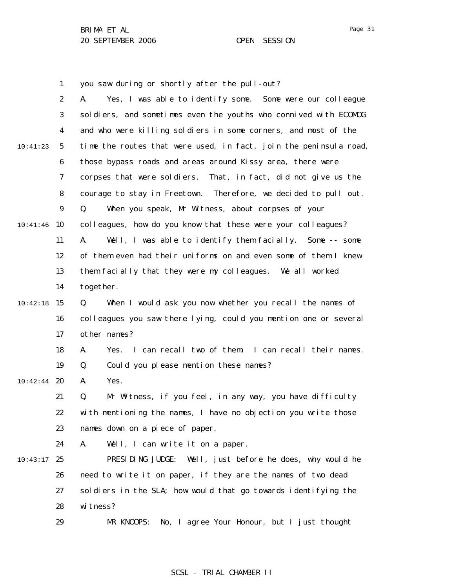1 you saw during or shortly after the pull-out?

|          | $\boldsymbol{2}$ | Yes, I was able to identify some. Some were our colleague<br>A.   |
|----------|------------------|-------------------------------------------------------------------|
|          | 3                | soldiers, and sometimes even the youths who connived with ECOMOG  |
|          | $\boldsymbol{4}$ | and who were killing soldiers in some corners, and most of the    |
| 10:41:23 | $\mathbf{5}$     | time the routes that were used, in fact, join the peninsula road, |
|          | 6                | those bypass roads and areas around Kissy area, there were        |
|          | 7                | That, in fact, did not give us the<br>corpses that were soldiers. |
|          | 8                | courage to stay in Freetown. Therefore, we decided to pull out.   |
|          | $\boldsymbol{9}$ | When you speak, Mr Witness, about corpses of your<br>Q.           |
| 10:41:46 | 10               | colleagues, how do you know that these were your colleagues?      |
|          | 11               | Well, I was able to identify them facially. Some -- some<br>A.    |
|          | 12               | of them even had their uniforms on and even some of them I knew   |
|          | 13               | them facially that they were my colleagues. We all worked         |
|          | 14               | together.                                                         |
| 10:42:18 | 15               | When I would ask you now whether you recall the names of<br>Q.    |
|          | 16               | colleagues you saw there lying, could you mention one or several  |
|          | 17               | other names?                                                      |
|          | 18               | I can recall two of them I can recall their names.<br>A.<br>Yes.  |
|          | 19               | Could you please mention these names?<br>Q.                       |
| 10:42:44 | 20               | Yes.<br>A.                                                        |
|          | 21               | Mr Witness, if you feel, in any way, you have difficulty<br>Q.    |
|          | 22               | with mentioning the names, I have no objection you write those    |
|          | 23               | names down on a piece of paper.                                   |
|          | 24               | Well, I can write it on a paper.<br>A.                            |
| 10:43:17 | 25               | PRESIDING JUDGE:<br>Well, just before he does, why would he       |
|          | 26               | need to write it on paper, if they are the names of two dead      |
|          | 27               | soldiers in the SLA; how would that go towards identifying the    |
|          | 28               | witness?                                                          |
|          | 29               | No, I agree Your Honour, but I just thought<br>MR KNOOPS:         |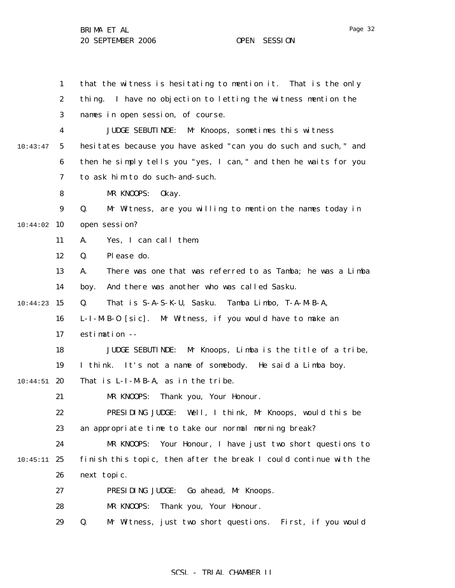1 2 3 4 5 6 7 8 9 10:44:02 10 11 12 13 14  $10:44:23$  15 16 17 18 19  $10:44:51$  20 21 22 23 24  $10:45:11$  25 26 27 28 29 10:43:47 that the witness is hesitating to mention it. That is the only thing. I have no objection to letting the witness mention the names in open session, of course. JUDGE SEBUTINDE: Mr Knoops, sometimes this witness hesitates because you have asked "can you do such and such," and then he simply tells you "yes, I can," and then he waits for you to ask him to do such-and-such. MR KNOOPS: Okay. Q. Mr Witness, are you willing to mention the names today in open session? A. Yes, I can call them. Q. Please do. A. There was one that was referred to as Tamba; he was a Limba boy. And there was another who was called Sasku. Q. That is S-A-S-K-U, Sasku. Tamba Limbo, T-A-M-B-A, L-I-M-B-O [sic]. Mr Witness, if you would have to make an estimation -- JUDGE SEBUTINDE: Mr Knoops, Limba is the title of a tribe, I think. It's not a name of somebody. He said a Limba boy. That is L-I-M-B-A, as in the tribe. MR KNOOPS: Thank you, Your Honour. PRESIDING JUDGE: Well, I think, Mr Knoops, would this be an appropriate time to take our normal morning break? MR KNOOPS: Your Honour, I have just two short questions to finish this topic, then after the break I could continue with the next topic. PRESIDING JUDGE: Go ahead, Mr Knoops. MR KNOOPS: Thank you, Your Honour. Q. Mr Witness, just two short questions. First, if you would

## SCSL - TRIAL CHAMBER II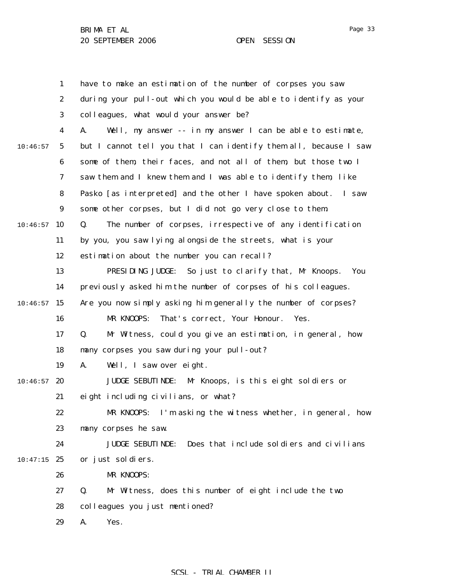1 2 3 4 5 6 7 8 9  $10:46:57$  10 11 12 13 14  $10:46:57$  15 16 17 18 19  $10:46:57$  20 21 22 23 24  $10:47:15$  25 26 27 28 29 10:46:57 have to make an estimation of the number of corpses you saw during your pull-out which you would be able to identify as your colleagues, what would your answer be? A. Well, my answer -- in my answer I can be able to estimate, but I cannot tell you that I can identify them all, because I saw some of them, their faces, and not all of them, but those two I saw them and I knew them and I was able to identify them, like Pasko [as interpreted] and the other I have spoken about. I saw some other corpses, but I did not go very close to them. Q. The number of corpses, irrespective of any identification by you, you saw lying alongside the streets, what is your estimation about the number you can recall? PRESIDING JUDGE: So just to clarify that, Mr Knoops. You previously asked him the number of corpses of his colleagues. Are you now simply asking him generally the number of corpses? MR KNOOPS: That's correct, Your Honour. Yes. Q. Mr Witness, could you give an estimation, in general, how many corpses you saw during your pull-out? A. Well, I saw over eight. JUDGE SEBUTINDE: Mr Knoops, is this eight soldiers or eight including civilians, or what? MR KNOOPS: I'm asking the witness whether, in general, how many corpses he saw. JUDGE SEBUTINDE: Does that include soldiers and civilians or just soldiers. MR KNOOPS: Q. Mr Witness, does this number of eight include the two colleagues you just mentioned? A. Yes.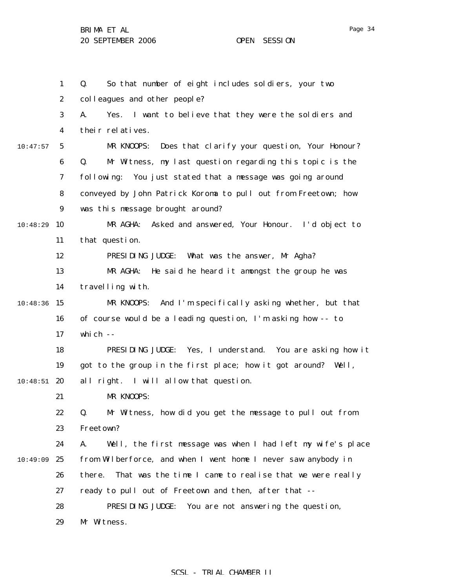|          | $\mathbf{1}$     | So that number of eight includes soldiers, your two<br>Q.         |
|----------|------------------|-------------------------------------------------------------------|
|          | $\boldsymbol{2}$ | colleagues and other people?                                      |
|          | 3                | Yes. I want to believe that they were the soldiers and<br>A.      |
|          | 4                | their relatives.                                                  |
| 10:47:57 | $5\phantom{.0}$  | Does that clarify your question, Your Honour?<br>MR KNOOPS:       |
|          | 6                | Q.<br>Mr Witness, my last question regarding this topic is the    |
|          | 7                | following:<br>You just stated that a message was going around     |
|          | 8                | conveyed by John Patrick Koroma to pull out from Freetown; how    |
|          | 9                | was this message brought around?                                  |
| 10:48:29 | 10               | MR AGHA:<br>Asked and answered, Your Honour. I'd object to        |
|          | 11               | that question.                                                    |
|          | 12               | PRESIDING JUDGE:<br>What was the answer, Mr Agha?                 |
|          | 13               | He said he heard it amongst the group he was<br>MR AGHA:          |
|          | 14               | travelling with.                                                  |
| 10:48:36 | 15               | And I'm specifically asking whether, but that<br>MR KNOOPS:       |
|          | 16               | of course would be a leading question, I'm asking how -- to       |
|          | 17               | which --                                                          |
|          | 18               | PRESIDING JUDGE: Yes, I understand. You are asking how it         |
|          | 19               | got to the group in the first place; how it got around? Well,     |
| 10:48:51 | 20               | all right. I will allow that question.                            |
|          | 21               | MR KNOOPS:                                                        |
|          | 22               | Mr Witness, how did you get the message to pull out from<br>Q.    |
|          | 23               | Freetown?                                                         |
|          | 24               | Well, the first message was when I had left my wife's place<br>A. |
| 10:49:09 | 25               | from Wilberforce, and when I went home I never saw anybody in     |
|          | 26               | That was the time I came to realise that we were really<br>there. |
|          | 27               | ready to pull out of Freetown and then, after that --             |
|          | 28               | PRESIDING JUDGE:<br>You are not answering the question,           |
|          | 29               | Mr Witness.                                                       |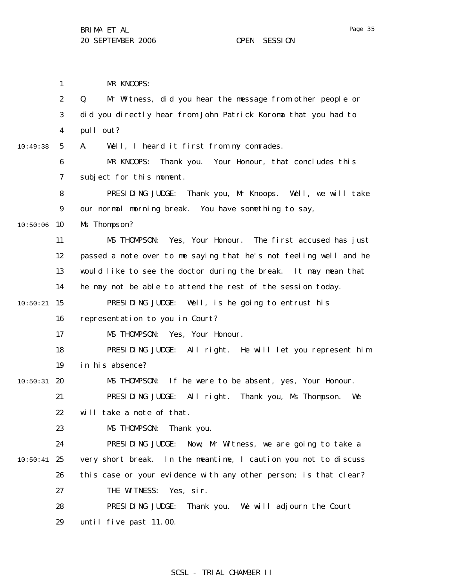Page 35

1 2 3 4 5 6 7 8 9  $10:50:06$  10 11 12 13 14  $10:50:21$  15 16 17 18 19  $10:50:31$  20 21 22 23 24  $10:50:41$  25 26 27 28 29 10:49:38 MR KNOOPS: Q. Mr Witness, did you hear the message from other people or did you directly hear from John Patrick Koroma that you had to pull out? A. Well, I heard it first from my comrades. MR KNOOPS: Thank you. Your Honour, that concludes this subject for this moment. PRESIDING JUDGE: Thank you, Mr Knoops. Well, we will take our normal morning break. You have something to say, Ms Thompson? MS THOMPSON: Yes, Your Honour. The first accused has just passed a note over to me saying that he's not feeling well and he would like to see the doctor during the break. It may mean that he may not be able to attend the rest of the session today. PRESIDING JUDGE: Well, is he going to entrust his representation to you in Court? MS THOMPSON: Yes, Your Honour. PRESIDING JUDGE: All right. He will let you represent him in his absence? MS THOMPSON: If he were to be absent, yes, Your Honour. PRESIDING JUDGE: All right. Thank you, Ms Thompson. We will take a note of that. MS THOMPSON: Thank you. PRESIDING JUDGE: Now, Mr Witness, we are going to take a very short break. In the meantime, I caution you not to discuss this case or your evidence with any other person; is that clear? THE WITNESS: Yes, sir. PRESIDING JUDGE: Thank you. We will adjourn the Court until five past 11.00.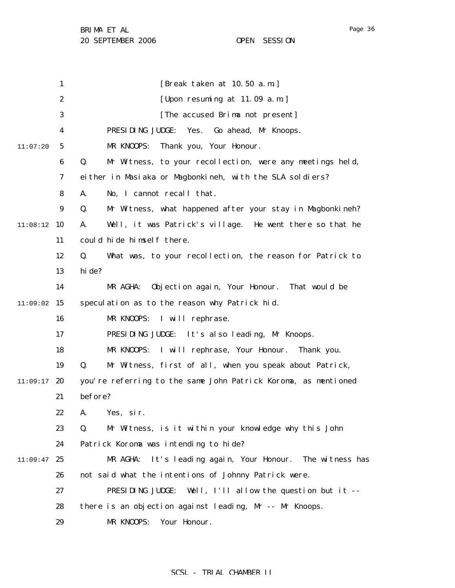|          | 1                | [Break taken at 10.50 a.m.]                                     |
|----------|------------------|-----------------------------------------------------------------|
|          | $\boldsymbol{2}$ | [Upon resuming at 11.09 a.m.]                                   |
|          | 3                | [The accused Brima not present]                                 |
|          | 4                | PRESIDING JUDGE:<br>Yes.<br>Go ahead, Mr Knoops.                |
| 11:07:20 | 5                | MR KNOOPS:<br>Thank you, Your Honour.                           |
|          | 6                | Mr Witness, to your recollection, were any meetings held,<br>Q. |
|          | 7                | either in Masiaka or Magbonkineh, with the SLA soldiers?        |
|          | 8                | No, I cannot recall that.<br>A.                                 |
|          | $\boldsymbol{9}$ | Q.<br>Mr Witness, what happened after your stay in Magbonkineh? |
| 11:08:12 | 10               | Well, it was Patrick's village. He went there so that he<br>A.  |
|          | 11               | could hide himself there.                                       |
|          | 12               | What was, to your recollection, the reason for Patrick to<br>Q. |
|          | 13               | hi de?                                                          |
|          | 14               | MR AGHA:<br>Objection again, Your Honour. That would be         |
| 11:09:02 | 15               | speculation as to the reason why Patrick hid.                   |
|          | 16               | MR KNOOPS:<br>I will rephrase.                                  |
|          | 17               | PRESIDING JUDGE: It's also leading, Mr Knoops.                  |
|          | 18               | MR KNOOPS: I will rephrase, Your Honour.<br>Thank you.          |
|          | 19               | Q.<br>Mr Witness, first of all, when you speak about Patrick,   |
| 11:09:17 | 20               | you're referring to the same John Patrick Koroma, as mentioned  |
|          | 21               | before?                                                         |
|          | 22               | A. Yes, sir.                                                    |
|          | 23               | Mr Witness, is it within your knowledge why this John<br>Q.     |
|          | 24               | Patrick Koroma was intending to hide?                           |
| 11:09:47 | 25               | It's leading again, Your Honour.<br>MR AGHA:<br>The witness has |
|          | 26               | not said what the intentions of Johnny Patrick were.            |
|          | 27               | PRESIDING JUDGE:<br>Well, I'll allow the question but it --     |
|          | 28               | there is an objection against leading, Mr -- Mr Knoops.         |
|          | 29               | MR KNOOPS:<br>Your Honour.                                      |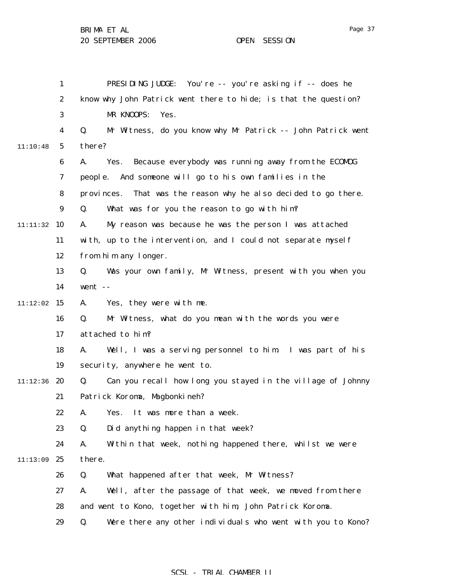1 2 3 4 5 6 7 8 9 11:11:32 10 11 12 13 14  $11:12:02$  15 16 17 18 19 11:12:36 20 21 22 23 24 11:13:09 25 26 27 28 29 11:10:48 PRESIDING JUDGE: You're -- you're asking if -- does he know why John Patrick went there to hide; is that the question? MR KNOOPS: Yes. Q. Mr Witness, do you know why Mr Patrick -- John Patrick went there? A. Yes. Because everybody was running away from the ECOMOG people. And someone will go to his own families in the provinces. That was the reason why he also decided to go there. Q. What was for you the reason to go with him? A. My reason was because he was the person I was attached with, up to the intervention, and I could not separate myself from him any longer. Q. Was your own family, Mr Witness, present with you when you went -- A. Yes, they were with me. Q. Mr Witness, what do you mean with the words you were attached to him? A. Well, I was a serving personnel to him. I was part of his security, anywhere he went to. Q. Can you recall how long you stayed in the village of Johnny Patrick Koroma, Magbonkineh? A. Yes. It was more than a week. Q. Did anything happen in that week? A. Within that week, nothing happened there, whilst we were there. Q. What happened after that week, Mr Witness? A. Well, after the passage of that week, we moved from there and went to Kono, together with him, John Patrick Koroma. Q. Were there any other individuals who went with you to Kono?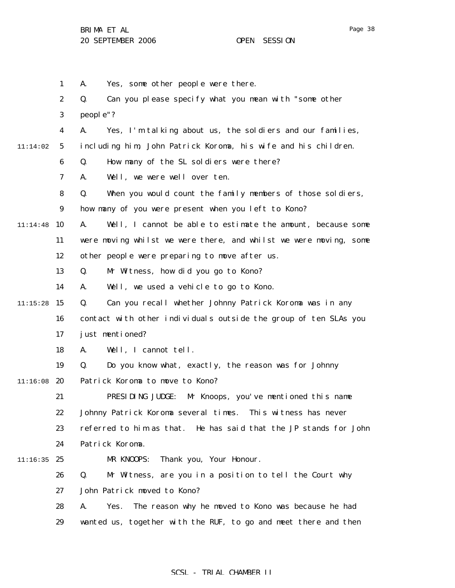|          | $\mathbf{1}$     | Yes, some other people were there.<br>A.                          |
|----------|------------------|-------------------------------------------------------------------|
|          | $\boldsymbol{2}$ | Can you please specify what you mean with "some other<br>Q.       |
|          | 3                | people"?                                                          |
|          | 4                | Yes, I'm talking about us, the soldiers and our families,<br>A.   |
| 11:14:02 | $5\phantom{.0}$  | including him, John Patrick Koroma, his wife and his children.    |
|          | 6                | How many of the SL soldiers were there?<br>Q.                     |
|          | 7                | Well, we were well over ten.<br>A.                                |
|          | 8                | Q.<br>When you would count the family members of those soldiers,  |
|          | $\boldsymbol{9}$ | how many of you were present when you left to Kono?               |
| 11:14:48 | 10               | Well, I cannot be able to estimate the amount, because some<br>A. |
|          | 11               | were moving whilst we were there, and whilst we were moving, some |
|          | 12               | other people were preparing to move after us.                     |
|          | 13               | Mr Witness, how did you go to Kono?<br>Q.                         |
|          | 14               | Well, we used a vehicle to go to Kono.<br>A.                      |
| 11:15:28 | 15               | Can you recall whether Johnny Patrick Koroma was in any<br>Q.     |
|          | 16               | contact with other individuals outside the group of ten SLAs you  |
|          | 17               | just mentioned?                                                   |
|          | 18               | Well, I cannot tell.<br>A.                                        |
|          | 19               | Do you know what, exactly, the reason was for Johnny<br>Q.        |
| 11:16:08 | 20               | Patrick Koroma to move to Kono?                                   |
|          | 21               | PRESIDING JUDGE:<br>Mr Knoops, you've mentioned this name         |
|          | 22               | Johnny Patrick Koroma several times. This witness has never       |
|          | 23               | referred to him as that. He has said that the JP stands for John  |
|          | 24               | Patrick Koroma.                                                   |
| 11:16:35 | 25               | Thank you, Your Honour.<br>MR KNOOPS:                             |
|          | 26               | Q.<br>Mr Witness, are you in a position to tell the Court why     |
|          | 27               | John Patrick moved to Kono?                                       |
|          | 28               | The reason why he moved to Kono was because he had<br>A.<br>Yes.  |
|          | 29               | wanted us, together with the RUF, to go and meet there and then   |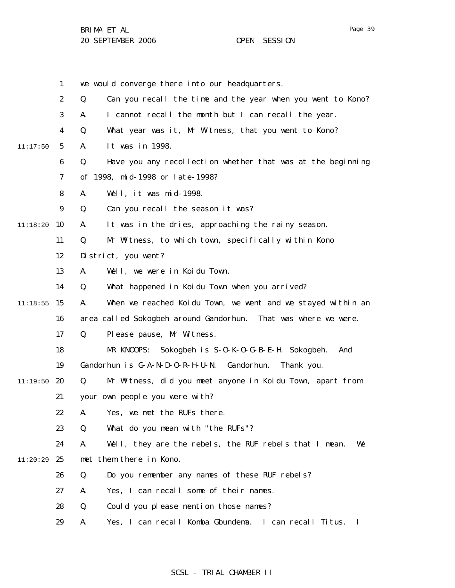|          | $\mathbf{1}$     | we would converge there into our headquarters.                     |
|----------|------------------|--------------------------------------------------------------------|
|          | $\boldsymbol{2}$ | Q.<br>Can you recall the time and the year when you went to Kono?  |
|          | 3                | I cannot recall the month but I can recall the year.<br>A.         |
|          | $\boldsymbol{4}$ | Q.<br>What year was it, Mr Witness, that you went to Kono?         |
| 11:17:50 | $5\phantom{.0}$  | It was in 1998.<br>A.                                              |
|          | 6                | Q.<br>Have you any recollection whether that was at the beginning  |
|          | 7                | of 1998, mid-1998 or late-1998?                                    |
|          | 8                | Well, it was mid-1998.<br>A.                                       |
|          | $\boldsymbol{9}$ | Q.<br>Can you recall the season it was?                            |
| 11:18:20 | 10               | It was in the dries, approaching the rainy season.<br>A.           |
|          | 11               | Mr Witness, to which town, specifically within Kono<br>Q.          |
|          | 12               | District, you went?                                                |
|          | 13               | Well, we were in Koidu Town.<br>A.                                 |
|          | 14               | What happened in Koidu Town when you arrived?<br>Q.                |
| 11:18:55 | 15               | When we reached Koidu Town, we went and we stayed within an<br>A.  |
|          | 16               | area called Sokogbeh around Gandorhun.<br>That was where we were.  |
|          | 17               | Please pause, Mr Witness.<br>Q.                                    |
|          | 18               | MR KNOOPS:<br>Sokogbeh is S-0-K-0-G-B-E-H. Sokogbeh.<br>And        |
|          | 19               | Gandorhun is G-A-N-D-O-R-H-U-N. Gandorhun.<br>Thank you.           |
| 11:19:50 | 20               | Mr Witness, did you meet anyone in Koidu Town, apart from<br>Q.    |
|          | 21               | your own people you were with?                                     |
|          | 22               | Yes, we met the RUFs there.<br>A.                                  |
|          | 23               | Q.<br>What do you mean with "the RUFs"?                            |
|          | 24               | Well, they are the rebels, the RUF rebels that I mean.<br>A.<br>We |
| 11:20:29 | 25               | met them there in Kono.                                            |
|          | 26               | Do you remember any names of these RUF rebels?<br>Q.               |
|          | 27               | Yes, I can recall some of their names.<br>A.                       |
|          | 28               | Q.<br>Could you please mention those names?                        |
|          | 29               | Yes, I can recall Komba Gbundema. I can recall Titus.<br>A.<br>Ι.  |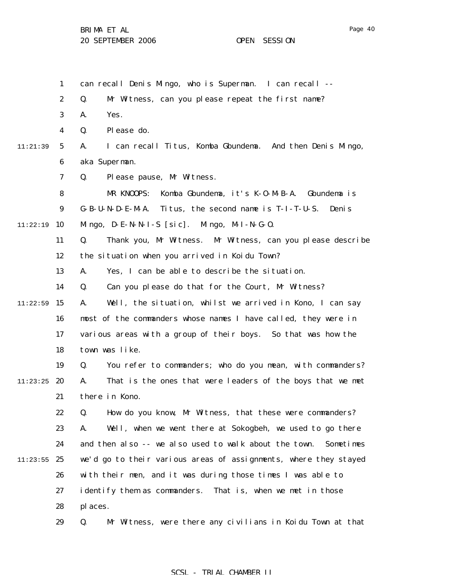| 1                           | can recall Denis Mingo, who is Superman. I can recall --                      |
|-----------------------------|-------------------------------------------------------------------------------|
| $\boldsymbol{2}$            | Q.<br>Mr Witness, can you please repeat the first name?                       |
| 3                           | Yes.<br>A.                                                                    |
| $\overline{\mathbf{4}}$     | Please do.<br>Q.                                                              |
| $5\overline{)}$<br>11:21:39 | I can recall Titus, Komba Gbundema. And then Denis Mingo,<br>A.               |
| 6                           | aka Superman.                                                                 |
| 7                           | Please pause, Mr Witness.<br>Q.                                               |
| 8                           | Komba Gbundema, it's K-0-M-B-A. Gbundema is<br>MR KNOOPS:                     |
| 9                           | G-B-U-N-D-E-M-A.<br>Titus, the second name is T-I-T-U-S.<br>Deni <sub>s</sub> |
| 10<br>11:22:19              | Mingo, $D - E - N - N - I - S$ [sic]. Mingo, $M - I - N - G - O$ .            |
| 11                          | Thank you, Mr Witness. Mr Witness, can you please describe<br>Q.              |
| 12                          | the situation when you arrived in Koidu Town?                                 |
| 13                          | Yes, I can be able to describe the situation.<br>A.                           |
| 14                          | Can you please do that for the Court, Mr Witness?<br>Q.                       |
| 15<br>11:22:59              | Well, the situation, whilst we arrived in Kono, I can say<br>A.               |
| 16                          | most of the commanders whose names I have called, they were in                |
| 17                          | various areas with a group of their boys. So that was how the                 |
| 18                          | town was like.                                                                |
| 19                          | You refer to commanders; who do you mean, with commanders?<br>Q.              |
| 11:23:25<br>20              | That is the ones that were leaders of the boys that we met<br>A.              |
| 21                          | there in Kono.                                                                |
| 22                          | Q.<br>How do you know, Mr Witness, that these were commanders?                |
| 23                          | Well, when we went there at Sokogbeh, we used to go there<br>A.               |
| 24                          | and then also -- we also used to walk about the town.<br>Sometimes            |
| 25<br>11:23:55              | we'd go to their various areas of assignments, where they stayed              |
| 26                          | with their men, and it was during those times I was able to                   |
| 27                          | identify them as commanders. That is, when we met in those                    |
| 28                          | places.                                                                       |
|                             |                                                                               |

29 Q. Mr Witness, were there any civilians in Koidu Town at that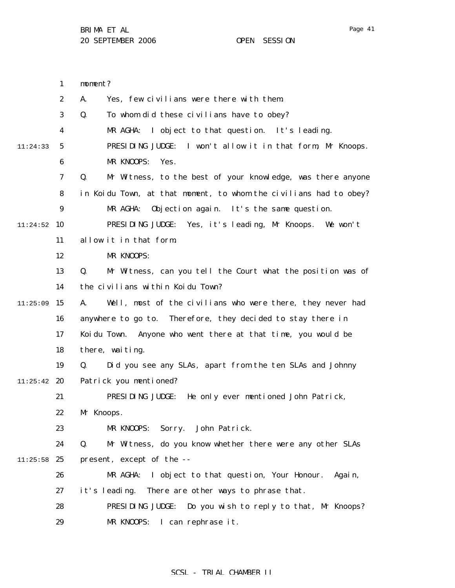1 2 3 4 5 6 7 8 9  $11:24:52$  10 11 12 13 14  $11:25:09$  15 16 17 18 19  $11:25:42$  20 21 22 23 24  $11:25:58$  25 26 27 28 29 11:24:33 moment? A. Yes, few civilians were there with them. Q. To whom did these civilians have to obey? MR AGHA: I object to that question. It's leading. PRESIDING JUDGE: I won't allow it in that form, Mr Knoops. MR KNOOPS: Yes. Q. Mr Witness, to the best of your knowledge, was there anyone in Koidu Town, at that moment, to whom the civilians had to obey? MR AGHA: Objection again. It's the same question. PRESIDING JUDGE: Yes, it's leading, Mr Knoops. We won't allow it in that form. MR KNOOPS: Q. Mr Witness, can you tell the Court what the position was of the civilians within Koidu Town? A. Well, most of the civilians who were there, they never had anywhere to go to. Therefore, they decided to stay there in Koidu Town. Anyone who went there at that time, you would be there, waiting. Q. Did you see any SLAs, apart from the ten SLAs and Johnny Patrick you mentioned? PRESIDING JUDGE: He only ever mentioned John Patrick, Mr Knoops. MR KNOOPS: Sorry. John Patrick. Q. Mr Witness, do you know whether there were any other SLAs present, except of the -- MR AGHA: I object to that question, Your Honour. Again, it's leading. There are other ways to phrase that. PRESIDING JUDGE: Do you wish to reply to that, Mr Knoops? MR KNOOPS: I can rephrase it.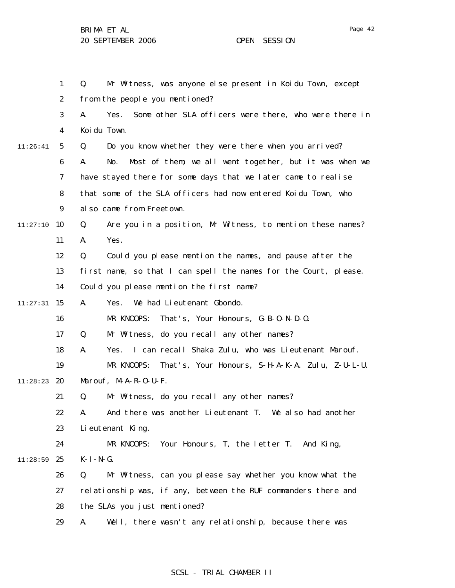1 2 3 4 5 6 7 8 9  $11:27:10$  10 11 12 13 14  $11:27:31$  15 16 17 18 19 11:28:23 **20** 21 22 23 24 11:28:59 25 26 27 28 29 11:26:41 Q. Mr Witness, was anyone else present in Koidu Town, except from the people you mentioned? A. Yes. Some other SLA officers were there, who were there in Koidu Town. Q. Do you know whether they were there when you arrived? A. No. Most of them, we all went together, but it was when we have stayed there for some days that we later came to realise that some of the SLA officers had now entered Koidu Town, who also came from Freetown. Q. Are you in a position, Mr Witness, to mention these names? A. Yes. Q. Could you please mention the names, and pause after the first name, so that I can spell the names for the Court, please. Could you please mention the first name? A. Yes. We had Lieutenant Gbondo. MR KNOOPS: That's, Your Honours, G-B-O-N-D-O. Q. Mr Witness, do you recall any other names? A. Yes. I can recall Shaka Zulu, who was Lieutenant Marouf. MR KNOOPS: That's, Your Honours, S-H-A-K-A. Zulu, Z-U-L-U. Marouf, M-A-R-O-U-F. Q. Mr Witness, do you recall any other names? A. And there was another Lieutenant T. We also had another Lieutenant King. MR KNOOPS: Your Honours, T, the letter T. And King, K-I-N-G. Q. Mr Witness, can you please say whether you know what the relationship was, if any, between the RUF commanders there and the SLAs you just mentioned? A. Well, there wasn't any relationship, because there was

### SCSL - TRIAL CHAMBER II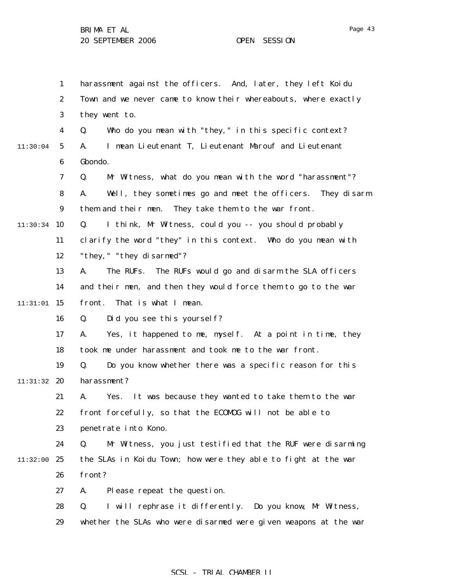1 2 3 4 5 6 7 8 9  $11:30:34$  10 11 12 13 14  $11:31:01$  15 16 17 18 19 11:31:32 **20** 21 22 23 24 11:32:00 25 26 27 28 29 11:30:04 harassment against the officers. And, later, they left Koidu Town and we never came to know their whereabouts, where exactly they went to. Q. Who do you mean with "they," in this specific context? A. I mean Lieutenant T, Lieutenant Marouf and Lieutenant Gbondo. Q. Mr Witness, what do you mean with the word "harassment"? A. Well, they sometimes go and meet the officers. They disarm them and their men. They take them to the war front. Q. I think, Mr Witness, could you -- you should probably clarify the word "they" in this context. Who do you mean with "they," "they disarmed"? A. The RUFs. The RUFs would go and disarm the SLA officers and their men, and then they would force them to go to the war front. That is what I mean. Q. Did you see this yourself? A. Yes, it happened to me, myself. At a point in time, they took me under harassment and took me to the war front. Q. Do you know whether there was a specific reason for this harassment? A. Yes. It was because they wanted to take them to the war front forcefully, so that the ECOMOG will not be able to penetrate into Kono. Q. Mr Witness, you just testified that the RUF were disarming the SLAs in Koidu Town; how were they able to fight at the war front? A. Please repeat the question. Q. I will rephrase it differently. Do you know, Mr Witness, whether the SLAs who were disarmed were given weapons at the war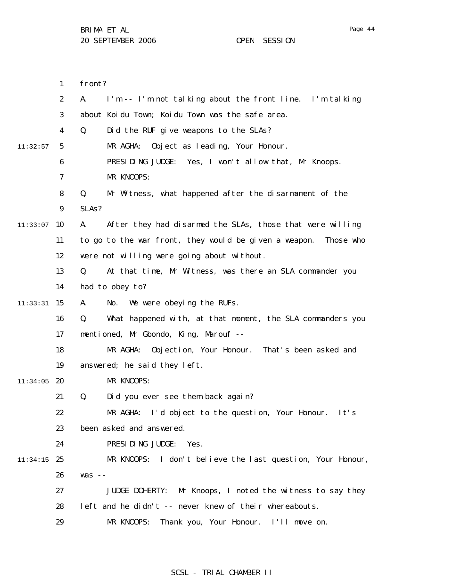1 2 3 4 5 6 7 8 9  $11:33:07$  10 11 12 13 14  $11:33:31$  15 16 17 18 19  $11:34:05$  20 21 22 23 24 11:34:15 25 26 27 28 29 11:32:57 front? A. I'm -- I'm not talking about the front line. I'm talking about Koidu Town; Koidu Town was the safe area. Q. Did the RUF give weapons to the SLAs? MR AGHA: Object as leading, Your Honour. PRESIDING JUDGE: Yes, I won't allow that, Mr Knoops. MR KNOOPS: Q. Mr Witness, what happened after the disarmament of the SLAs? A. After they had disarmed the SLAs, those that were willing to go to the war front, they would be given a weapon. Those who were not willing were going about without. Q. At that time, Mr Witness, was there an SLA commander you had to obey to? A. No. We were obeying the RUFs. Q. What happened with, at that moment, the SLA commanders you mentioned, Mr Gbondo, King, Marouf -- MR AGHA: Objection, Your Honour. That's been asked and answered; he said they left. MR KNOOPS: Q. Did you ever see them back again? MR AGHA: I'd object to the question, Your Honour. It's been asked and answered. PRESIDING JUDGE: Yes. MR KNOOPS: I don't believe the last question, Your Honour, was -- JUDGE DOHERTY: Mr Knoops, I noted the witness to say they left and he didn't -- never knew of their whereabouts. MR KNOOPS: Thank you, Your Honour. I'll move on.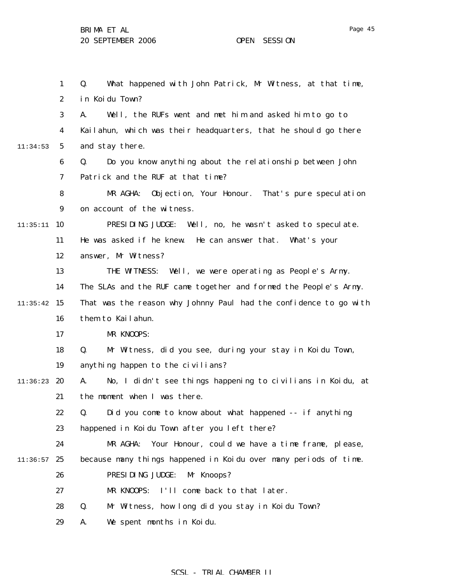1 2 3 4 5 6 7 8 9  $11:35:11$  10 11 12 13 14  $11:35:42$  15 16 17 18 19 11:36:23 **20** 21 22 23 24  $11:36:57$  25 26 27 28 29 11:34:53 Q. What happened with John Patrick, Mr Witness, at that time, in Koidu Town? A. Well, the RUFs went and met him and asked him to go to Kailahun, which was their headquarters, that he should go there and stay there. Q. Do you know anything about the relationship between John Patrick and the RUF at that time? MR AGHA: Objection, Your Honour. That's pure speculation on account of the witness. PRESIDING JUDGE: Well, no, he wasn't asked to speculate. He was asked if he knew. He can answer that. What's your answer, Mr Witness? THE WITNESS: Well, we were operating as People's Army. The SLAs and the RUF came together and formed the People's Army. That was the reason why Johnny Paul had the confidence to go with them to Kailahun. MR KNOOPS: Q. Mr Witness, did you see, during your stay in Koidu Town, anything happen to the civilians? A. No, I didn't see things happening to civilians in Koidu, at the moment when I was there. Q. Did you come to know about what happened -- if anything happened in Koidu Town after you left there? MR AGHA: Your Honour, could we have a time frame, please, because many things happened in Koidu over many periods of time. PRESIDING JUDGE: Mr Knoops? MR KNOOPS: I'll come back to that later. Q. Mr Witness, how long did you stay in Koidu Town? A. We spent months in Koidu.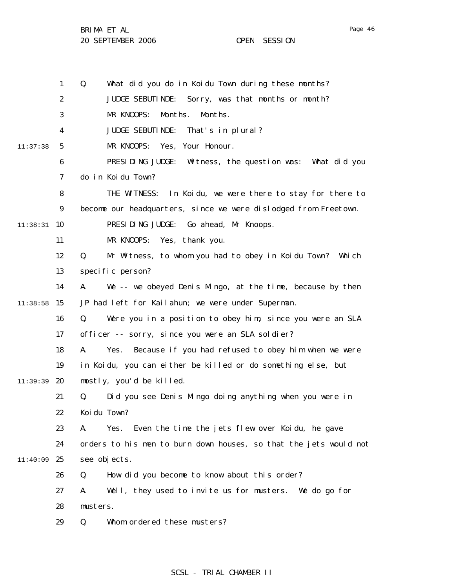1 2 3 4 5 6 7 8 9  $11:38:31$  10 11 12 13 14  $11:38:58$  15 16 17 18 19 11:39:39 **20** 21 22 23 24 11:40:09 25 26 27 28 29 11:37:38 Q. What did you do in Koidu Town during these months? JUDGE SEBUTINDE: Sorry, was that months or month? MR KNOOPS: Months. Months. JUDGE SEBUTINDE: That's in plural? MR KNOOPS: Yes, Your Honour. PRESIDING JUDGE: Witness, the question was: What did you do in Koidu Town? THE WITNESS: In Koidu, we were there to stay for there to become our headquarters, since we were dislodged from Freetown. PRESIDING JUDGE: Go ahead, Mr Knoops. MR KNOOPS: Yes, thank you. Q. Mr Witness, to whom you had to obey in Koidu Town? Which specific person? A. We -- we obeyed Denis Mingo, at the time, because by then JP had left for Kailahun; we were under Superman. Q. Were you in a position to obey him, since you were an SLA officer -- sorry, since you were an SLA soldier? A. Yes. Because if you had refused to obey him when we were in Koidu, you can either be killed or do something else, but mostly, you'd be killed. Q. Did you see Denis Mingo doing anything when you were in Koidu Town? A. Yes. Even the time the jets flew over Koidu, he gave orders to his men to burn down houses, so that the jets would not see objects. Q. How did you become to know about this order? A. Well, they used to invite us for musters. We do go for musters. Q. Whom ordered these musters?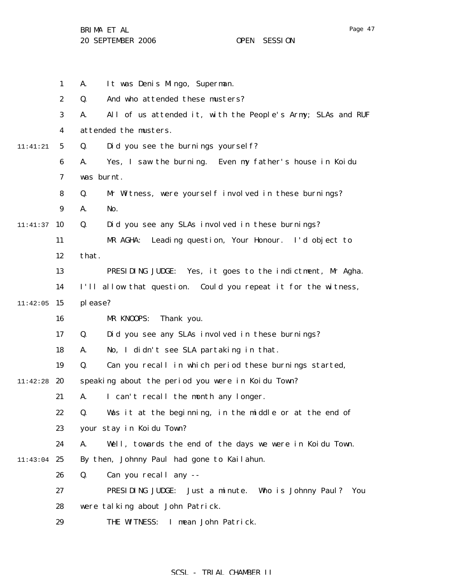Page 47

BRIMA ET AL 20 SEPTEMBER 2006 OPEN SESSION

|          | $\mathbf{1}$     | It was Denis Mingo, Superman.<br>A.                               |
|----------|------------------|-------------------------------------------------------------------|
|          | $\boldsymbol{2}$ | And who attended these musters?<br>Q.                             |
|          | 3                | All of us attended it, with the People's Army; SLAs and RUF<br>A. |
|          | 4                | attended the musters.                                             |
| 11:41:21 | $5\phantom{.0}$  | Did you see the burnings yourself?<br>Q.                          |
|          | $\boldsymbol{6}$ | Yes, I saw the burning. Even my father's house in Koidu<br>A.     |
|          | $\boldsymbol{7}$ | was burnt.                                                        |
|          | 8                | Mr Witness, were yourself involved in these burnings?<br>Q.       |
|          | 9                | No.<br>A.                                                         |
| 11:41:37 | 10               | Q.<br>Did you see any SLAs involved in these burnings?            |
|          | 11               | MR AGHA:<br>Leading question, Your Honour. I'd object to          |
|          | 12               | that.                                                             |
|          | 13               | Yes, it goes to the indictment, Mr Agha.<br>PRESIDING JUDGE:      |
|          | 14               | I'll allow that question. Could you repeat it for the witness,    |
| 11:42:05 | 15               | please?                                                           |
|          | 16               | MR KNOOPS:<br>Thank you.                                          |
|          | 17               | Did you see any SLAs involved in these burnings?<br>Q.            |
|          | 18               | No, I didn't see SLA partaking in that.<br>A.                     |
|          | 19               | Q.<br>Can you recall in which period these burnings started,      |
| 11:42:28 | 20               | speaking about the period you were in Koidu Town?                 |
|          | 21               | I can't recall the month any longer.<br>A.                        |
|          | 22               | Was it at the beginning, in the middle or at the end of<br>Q.     |
|          | 23               | your stay in Koidu Town?                                          |
|          | 24               | Well, towards the end of the days we were in Koidu Town.<br>A.    |
| 11:43:04 | 25               | By then, Johnny Paul had gone to Kailahun.                        |
|          | 26               | Q.<br>Can you recall any --                                       |
|          | 27               | PRESIDING JUDGE:<br>Just a minute. Who is Johnny Paul? You        |
|          | 28               | were talking about John Patrick.                                  |
|          | 29               | THE WITNESS:<br>I mean John Patrick.                              |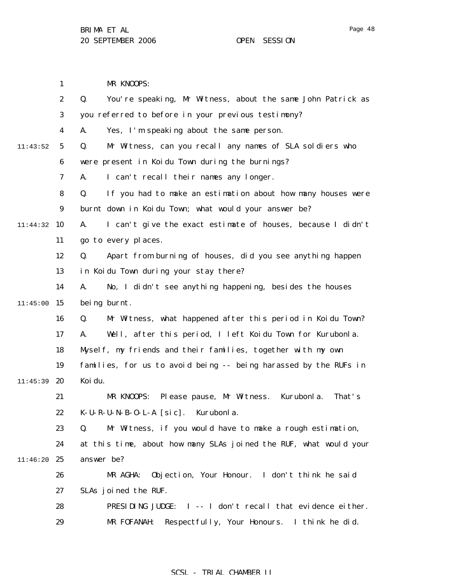1 2 3 4 5 6 7 8 9 11:44:32 10 11 12 13 14  $11:45:00$  15 16 17 18 19 11:45:39 **20** 21 22 23 24 11:46:20 25 26 27 28 29 11:43:52 MR KNOOPS: Q. You're speaking, Mr Witness, about the same John Patrick as you referred to before in your previous testimony? A. Yes, I'm speaking about the same person. Q. Mr Witness, can you recall any names of SLA soldiers who were present in Koidu Town during the burnings? A. I can't recall their names any longer. Q. If you had to make an estimation about how many houses were burnt down in Koidu Town; what would your answer be? A. I can't give the exact estimate of houses, because I didn't go to every places. Q. Apart from burning of houses, did you see anything happen in Koidu Town during your stay there? A. No, I didn't see anything happening, besides the houses being burnt. Q. Mr Witness, what happened after this period in Koidu Town? A. Well, after this period, I left Koidu Town for Kurubonla. Myself, my friends and their families, together with my own families, for us to avoid being -- being harassed by the RUFs in Koidu. MR KNOOPS: Please pause, Mr Witness. Kurubonla. That's K-U-R-U-N-B-O-L-A [sic]. Kurubonla. Q. Mr Witness, if you would have to make a rough estimation, at this time, about how many SLAs joined the RUF, what would your answer be? MR AGHA: Objection, Your Honour. I don't think he said SLAs joined the RUF. PRESIDING JUDGE: I -- I don't recall that evidence either. MR FOFANAH: Respectfully, Your Honours. I think he did.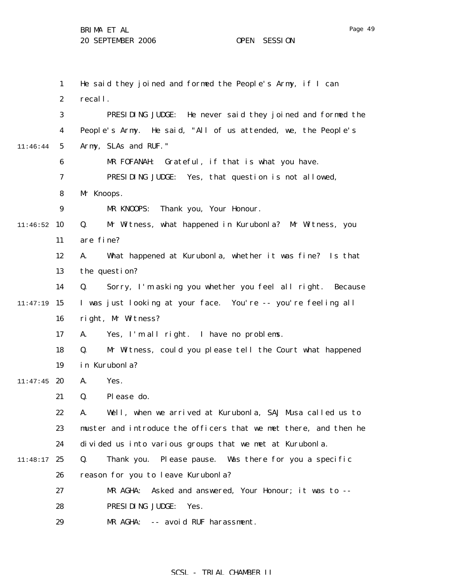|          | $\mathbf{1}$     | He said they joined and formed the People's Army, if I can       |
|----------|------------------|------------------------------------------------------------------|
|          | $\boldsymbol{2}$ | recall.                                                          |
|          | 3                | PRESIDING JUDGE: He never said they joined and formed the        |
|          | $\boldsymbol{4}$ | People's Army. He said, "All of us attended, we, the People's    |
| 11:46:44 | $\sqrt{5}$       | Army, SLAs and RUF."                                             |
|          | 6                | MR FOFANAH:<br>Grateful, if that is what you have.               |
|          | 7                | PRESIDING JUDGE: Yes, that question is not allowed,              |
|          | 8                | Mr Knoops.                                                       |
|          | $\boldsymbol{9}$ | Thank you, Your Honour.<br>MR KNOOPS:                            |
| 11:46:52 | 10               | Mr Witness, what happened in Kurubonla? Mr Witness, you<br>Q.    |
|          | 11               | are fine?                                                        |
|          | 12               | What happened at Kurubonla, whether it was fine? Is that<br>A.   |
|          | 13               | the question?                                                    |
|          | 14               | Sorry, I'm asking you whether you feel all right. Because<br>Q.  |
| 11:47:19 | 15               | I was just looking at your face. You're -- you're feeling all    |
|          | 16               | right, Mr Witness?                                               |
|          | 17               | Yes, I'm all right. I have no problems.<br>A.                    |
|          | 18               | Q.<br>Mr Witness, could you please tell the Court what happened  |
|          | 19               | in Kurubonla?                                                    |
| 11:47:45 | 20               | Yes.<br>A.                                                       |
|          | 21               | Please do.<br>Q.                                                 |
|          | 22               | Well, when we arrived at Kurubonla, SAJ Musa called us to<br>А.  |
|          | 23               | muster and introduce the officers that we met there, and then he |
|          | 24               | divided us into various groups that we met at Kurubonla.         |
| 11:48:17 | 25               | Thank you. Please pause. Was there for you a specific<br>Q.      |
|          | 26               | reason for you to leave Kurubonla?                               |
|          | 27               | MR AGHA:<br>Asked and answered, Your Honour; it was to --        |
|          | 28               | PRESIDING JUDGE:<br>Yes.                                         |
|          | 29               | MR AGHA: -- avoid RUF harassment.                                |

# SCSL - TRIAL CHAMBER II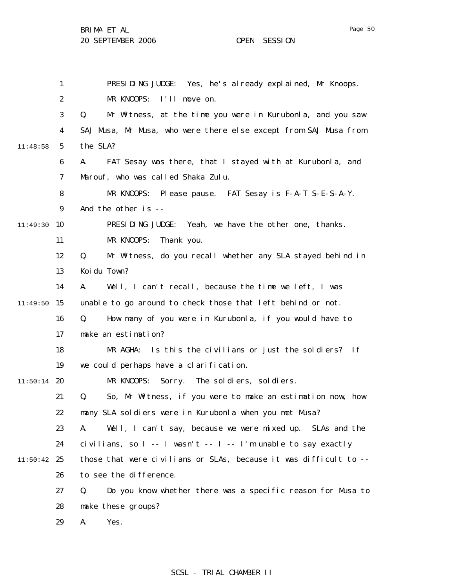|          | $\mathbf{1}$     | PRESIDING JUDGE: Yes, he's already explained, Mr Knoops.          |
|----------|------------------|-------------------------------------------------------------------|
|          | $\boldsymbol{2}$ | MR KNOOPS: I'll move on.                                          |
|          | 3                | Q.<br>Mr Witness, at the time you were in Kurubonla, and you saw  |
|          | 4                | SAJ Musa, Mr Musa, who were there else except from SAJ Musa from  |
| 11:48:58 | $\mathbf{5}$     | the SLA?                                                          |
|          | 6                | FAT Sesay was there, that I stayed with at Kurubonla, and<br>A.   |
|          | 7                | Marouf, who was called Shaka Zulu.                                |
|          | 8                | MR KNOOPS: Please pause. FAT Sesay is F-A-T S-E-S-A-Y.            |
|          | 9                | And the other is --                                               |
| 11:49:30 | 10               | PRESIDING JUDGE: Yeah, we have the other one, thanks.             |
|          | 11               | MR KNOOPS:<br>Thank you.                                          |
|          | 12               | Mr Witness, do you recall whether any SLA stayed behind in<br>Q.  |
|          | 13               | Koi du Town?                                                      |
|          | 14               | Well, I can't recall, because the time we left, I was<br>A.       |
| 11:49:50 | 15               | unable to go around to check those that left behind or not.       |
|          | 16               | How many of you were in Kurubonla, if you would have to<br>Q.     |
|          | 17               | make an estimation?                                               |
|          | 18               | MR AGHA: Is this the civilians or just the soldiers? If           |
|          | 19               | we could perhaps have a clarification.                            |
| 11:50:14 | 20               | MR KNOOPS:<br>Sorry. The soldiers, soldiers.                      |
|          | 21               | So, Mr Witness, if you were to make an estimation now, how<br>Q.  |
|          | 22               | many SLA soldiers were in Kurubonla when you met Musa?            |
|          | 23               | Well, I can't say, because we were mixed up. SLAs and the<br>A.   |
|          | 24               | civilians, so $I - I$ wasn't $-I - I$ m unable to say exactly     |
| 11:50:42 | 25               | those that were civilians or SLAs, because it was difficult to -- |
|          | 26               | to see the difference.                                            |
|          | 27               | Do you know whether there was a specific reason for Musa to<br>Q. |
|          | 28               | make these groups?                                                |
|          | 29               | A.<br>Yes.                                                        |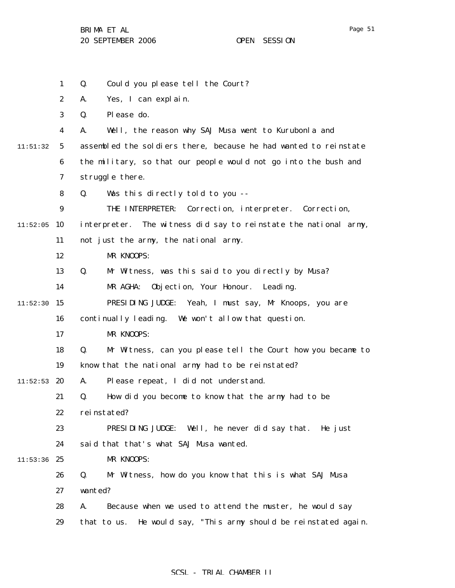1 2 3 4 5 6 7 8 9  $11:52:05$  10 11 12 13 14  $11:52:30$  15 16 17 18 19  $11:52:53$  20 21 22 23 24  $11:53:36$  25 26 27 28 29 11:51:32 Q. Could you please tell the Court? A. Yes, I can explain. Q. Please do. A. Well, the reason why SAJ Musa went to Kurubonla and assembled the soldiers there, because he had wanted to reinstate the military, so that our people would not go into the bush and struggle there. Q. Was this directly told to you -- THE INTERPRETER: Correction, interpreter. Correction, interpreter. The witness did say to reinstate the national army, not just the army, the national army. MR KNOOPS: Q. Mr Witness, was this said to you directly by Musa? MR AGHA: Objection, Your Honour. Leading. PRESIDING JUDGE: Yeah, I must say, Mr Knoops, you are continually leading. We won't allow that question. MR KNOOPS: Q. Mr Witness, can you please tell the Court how you became to know that the national army had to be reinstated? A. Please repeat, I did not understand. Q. How did you become to know that the army had to be reinstated? PRESIDING JUDGE: Well, he never did say that. He just said that that's what SAJ Musa wanted. MR KNOOPS: Q. Mr Witness, how do you know that this is what SAJ Musa wanted? A. Because when we used to attend the muster, he would say that to us. He would say, "This army should be reinstated again.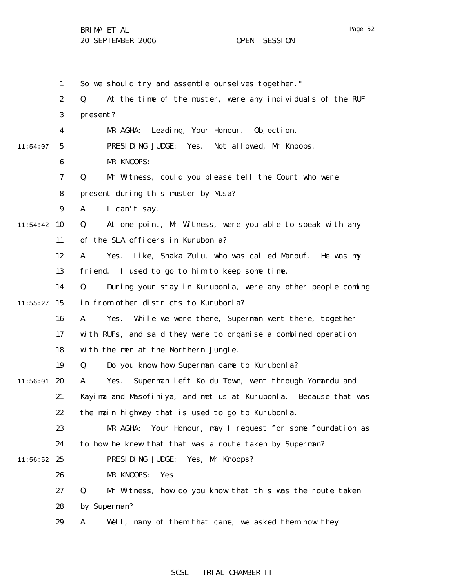1 2 3 4 5 6 7 8 9  $11:54:42$  10 11 12 13 14  $11:55:27$  15 16 17 18 19  $11:56:01$  20 21 22 23 24  $11:56:52$  25 26 27 28 29 11:54:07 So we should try and assemble ourselves together." Q. At the time of the muster, were any individuals of the RUF present? MR AGHA: Leading, Your Honour. Objection. PRESIDING JUDGE: Yes. Not allowed, Mr Knoops. MR KNOOPS: Q. Mr Witness, could you please tell the Court who were present during this muster by Musa? A. I can't say. Q. At one point, Mr Witness, were you able to speak with any of the SLA officers in Kurubonla? A. Yes. Like, Shaka Zulu, who was called Marouf. He was my friend. I used to go to him to keep some time. Q. During your stay in Kurubonla, were any other people coming in from other districts to Kurubonla? A. Yes. While we were there, Superman went there, together with RUFs, and said they were to organise a combined operation with the men at the Northern Jungle. Q. Do you know how Superman came to Kurubonla? A. Yes. Superman left Koidu Town, went through Yomandu and Kayima and Masofiniya, and met us at Kurubonla. Because that was the main highway that is used to go to Kurubonla. MR AGHA: Your Honour, may I request for some foundation as to how he knew that that was a route taken by Superman? PRESIDING JUDGE: Yes, Mr Knoops? MR KNOOPS: Yes. Q. Mr Witness, how do you know that this was the route taken by Superman? A. Well, many of them that came, we asked them how they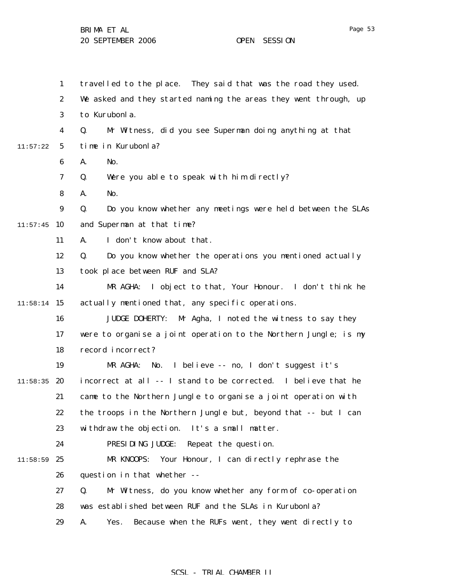|          | $\mathbf{1}$     | travelled to the place. They said that was the road they used.    |
|----------|------------------|-------------------------------------------------------------------|
|          | $\boldsymbol{2}$ | We asked and they started naming the areas they went through, up  |
|          | 3                | to Kurubonla.                                                     |
|          | 4                | Mr Witness, did you see Superman doing anything at that<br>Q.     |
| 11:57:22 | $\mathbf{5}$     | time in Kurubonla?                                                |
|          | 6                | A.<br>No.                                                         |
|          | 7                | Were you able to speak with him directly?<br>Q.                   |
|          | 8                | No.<br>A.                                                         |
|          | $\boldsymbol{9}$ | Do you know whether any meetings were held between the SLAs<br>Q. |
| 11:57:45 | 10               | and Superman at that time?                                        |
|          | 11               | I don't know about that.<br>A.                                    |
|          | 12               | Do you know whether the operations you mentioned actually<br>Q.   |
|          | 13               | took place between RUF and SLA?                                   |
|          | 14               | I object to that, Your Honour. I don't think he<br>MR AGHA:       |
| 11:58:14 | <b>15</b>        | actually mentioned that, any specific operations.                 |
|          | 16               | <b>JUDGE DOHERTY:</b><br>Mr Agha, I noted the witness to say they |
|          | 17               | were to organise a joint operation to the Northern Jungle; is my  |
|          | 18               | record incorrect?                                                 |
|          | 19               | I believe -- no, I don't suggest it's<br>MR AGHA:<br>No.          |
| 11:58:35 | 20               | incorrect at all -- I stand to be corrected. I believe that he    |
|          | 21               | came to the Northern Jungle to organise a joint operation with    |
|          | 22               | the troops in the Northern Jungle but, beyond that -- but I can   |
|          | 23               | withdraw the objection. It's a small matter.                      |
|          | 24               | PRESIDING JUDGE:<br>Repeat the question.                          |
| 11:58:59 | 25               | MR KNOOPS:<br>Your Honour, I can directly rephrase the            |
|          | 26               | question in that whether --                                       |
|          | 27               | Q.<br>Mr Witness, do you know whether any form of co-operation    |
|          | 28               | was established between RUF and the SLAs in Kurubonla?            |
|          | 29               | Because when the RUFs went, they went directly to<br>A.<br>Yes.   |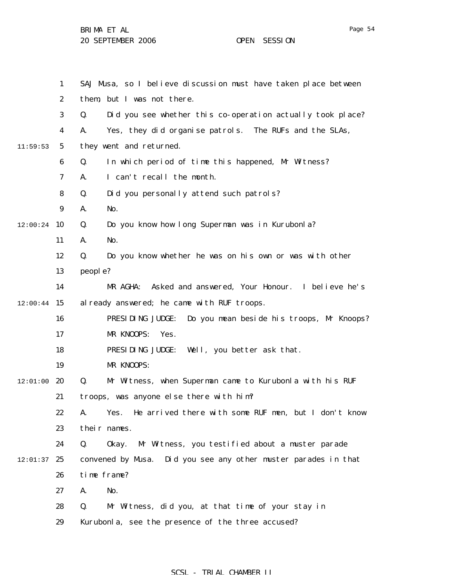|          | $\mathbf{1}$     | SAJ Musa, so I believe discussion must have taken place between  |
|----------|------------------|------------------------------------------------------------------|
|          | $\boldsymbol{2}$ | them, but I was not there.                                       |
|          | 3                | Did you see whether this co-operation actually took place?<br>Q. |
|          | 4                | Yes, they did organise patrols. The RUFs and the SLAs,<br>A.     |
| 11:59:53 | $5\phantom{.0}$  | they went and returned.                                          |
|          | 6                | In which period of time this happened, Mr Witness?<br>Q.         |
|          | 7                | I can't recall the month.<br>A.                                  |
|          | 8                | Q.<br>Did you personally attend such patrols?                    |
|          | 9                | A.<br>No.                                                        |
| 12:00:24 | 10               | Q.<br>Do you know how long Superman was in Kurubonla?            |
|          | 11               | No.<br>A.                                                        |
|          | 12               | Q.<br>Do you know whether he was on his own or was with other    |
|          | 13               | people?                                                          |
|          | 14               | Asked and answered, Your Honour. I believe he's<br>MR AGHA:      |
| 12:00:44 | 15               | al ready answered; he came with RUF troops.                      |
|          | 16               | PRESIDING JUDGE:<br>Do you mean beside his troops, Mr Knoops?    |
|          | 17               | MR KNOOPS:<br>Yes.                                               |
|          | 18               | PRESIDING JUDGE:<br>Well, you better ask that.                   |
|          | 19               | MR KNOOPS:                                                       |
| 12:01:00 | 20               | Q.<br>Mr Witness, when Superman came to Kurubonla with his RUF   |
|          | 21               | troops, was anyone else there with him?                          |
|          | 22               | A. Yes. He arrived there with some RUF men, but I don't know     |
|          | 23               | their names.                                                     |
|          | 24               | Q.<br>Mr Witness, you testified about a muster parade<br>0kay.   |
| 12:01:37 | 25               | convened by Musa. Did you see any other muster parades in that   |
|          | 26               | time frame?                                                      |
|          | 27               | A.<br>No.                                                        |
|          | 28               | Mr Witness, did you, at that time of your stay in<br>Q.          |
|          | 29               | Kurubonla, see the presence of the three accused?                |
|          |                  |                                                                  |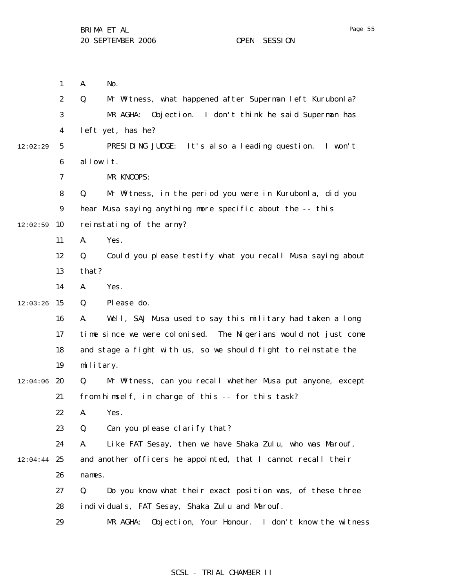1 2 3 4 5 6 7 8 9  $12:02:59$  10 11 12 13 14  $12:03:26$  15 16 17 18 19  $12:04:06$  20 21 22 23 24  $12:04:44$  25 26 27 28 29 12:02:29 A. No. Q. Mr Witness, what happened after Superman left Kurubonla? MR AGHA: Objection. I don't think he said Superman has left yet, has he? PRESIDING JUDGE: It's also a leading question. I won't allow it. MR KNOOPS: Q. Mr Witness, in the period you were in Kurubonla, did you hear Musa saying anything more specific about the -- this reinstating of the army? A. Yes. Q. Could you please testify what you recall Musa saying about that? A. Yes. Q. Please do. A. Well, SAJ Musa used to say this military had taken a long time since we were colonised. The Nigerians would not just come and stage a fight with us, so we should fight to reinstate the military. Q. Mr Witness, can you recall whether Musa put anyone, except from himself, in charge of this -- for this task? A. Yes. Q. Can you please clarify that? A. Like FAT Sesay, then we have Shaka Zulu, who was Marouf, and another officers he appointed, that I cannot recall their names. Q. Do you know what their exact position was, of these three individuals, FAT Sesay, Shaka Zulu and Marouf. MR AGHA: Objection, Your Honour. I don't know the witness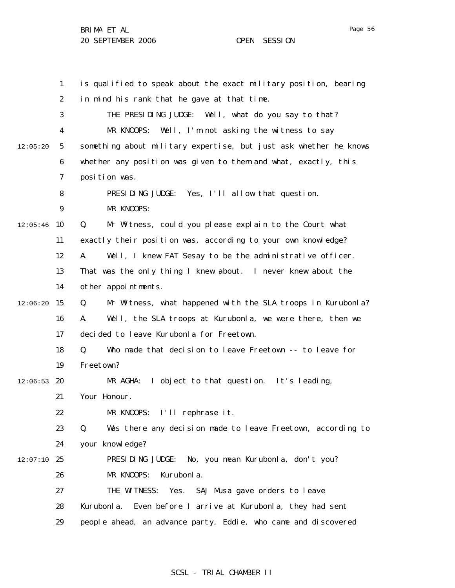1 2 3 4 5 6 7 8 9  $12:05:46$  10 11 12 13 14  $12:06:20$  15 16 17 18 19  $12:06:53$  20 21 22 23 24  $12:07:10$  25 26 27 28 29 12:05:20 is qualified to speak about the exact military position, bearing in mind his rank that he gave at that time. THE PRESIDING JUDGE: Well, what do you say to that? MR KNOOPS: Well, I'm not asking the witness to say something about military expertise, but just ask whether he knows whether any position was given to them and what, exactly, this position was. PRESIDING JUDGE: Yes, I'll allow that question. MR KNOOPS: Q. Mr Witness, could you please explain to the Court what exactly their position was, according to your own knowledge? A. Well, I knew FAT Sesay to be the administrative officer. That was the only thing I knew about. I never knew about the other appointments. Q. Mr Witness, what happened with the SLA troops in Kurubonla? A. Well, the SLA troops at Kurubonla, we were there, then we decided to leave Kurubonla for Freetown. Q. Who made that decision to leave Freetown -- to leave for Freetown? MR AGHA: I object to that question. It's leading, Your Honour. MR KNOOPS: I'll rephrase it. Q. Was there any decision made to leave Freetown, according to your knowledge? PRESIDING JUDGE: No, you mean Kurubonla, don't you? MR KNOOPS: Kurubonla. THE WITNESS: Yes. SAJ Musa gave orders to leave Kurubonla. Even before I arrive at Kurubonla, they had sent people ahead, an advance party, Eddie, who came and discovered

### SCSL - TRIAL CHAMBER II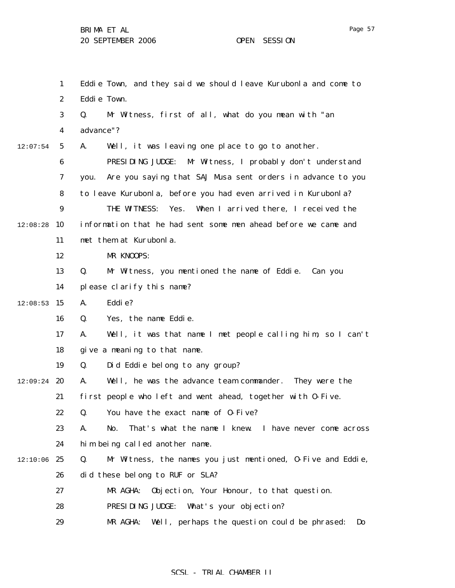1 2 3 4 5 6 7 8 9  $12:08:28$  10 11 12 13 14  $12:08:53$  15 16 17 18 19  $12:09:24$  20 21 22 23 24  $12:10:06$  25 26 27 28 29 12:07:54 Eddie Town, and they said we should leave Kurubonla and come to Eddie Town. Q. Mr Witness, first of all, what do you mean with "an advance"? A. Well, it was leaving one place to go to another. PRESIDING JUDGE: Mr Witness, I probably don't understand you. Are you saying that SAJ Musa sent orders in advance to you to leave Kurubonla, before you had even arrived in Kurubonla? THE WITNESS: Yes. When I arrived there, I received the information that he had sent some men ahead before we came and met them at Kurubonla. MR KNOOPS: Q. Mr Witness, you mentioned the name of Eddie. Can you please clarify this name? A. Eddie? Q. Yes, the name Eddie. A. Well, it was that name I met people calling him, so I can't give a meaning to that name. Q. Did Eddie belong to any group? A. Well, he was the advance team commander. They were the first people who left and went ahead, together with O-Five. Q. You have the exact name of O-Five? A. No. That's what the name I knew. I have never come across him being called another name. Q. Mr Witness, the names you just mentioned, O-Five and Eddie, did these belong to RUF or SLA? MR AGHA: Objection, Your Honour, to that question. PRESIDING JUDGE: What's your objection? MR AGHA: Well, perhaps the question could be phrased: Do

### SCSL - TRIAL CHAMBER II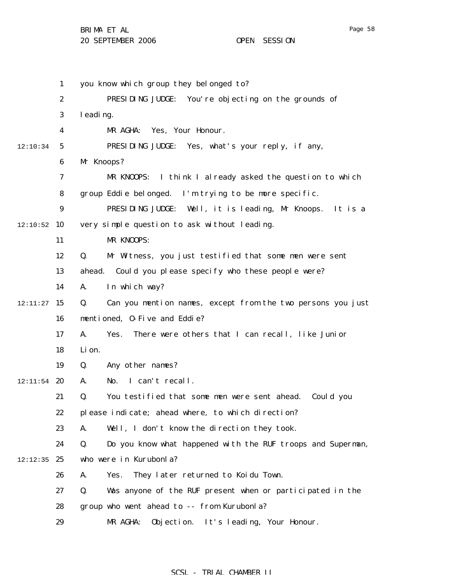1 2 3 4 5 6 7 8 9  $12:10:52$  10 11 12 13 14  $12:11:27$  15 16 17 18 19  $12:11:54$  20 21 22 23 24  $12:12:35$  25 26 27 28 29 12:10:34 you know which group they belonged to? PRESIDING JUDGE: You're objecting on the grounds of leading. MR AGHA: Yes, Your Honour. PRESIDING JUDGE: Yes, what's your reply, if any, Mr Knoops? MR KNOOPS: I think I already asked the question to which group Eddie belonged. I'm trying to be more specific. PRESIDING JUDGE: Well, it is leading, Mr Knoops. It is a very simple question to ask without leading. MR KNOOPS: Q. Mr Witness, you just testified that some men were sent ahead. Could you please specify who these people were? A. In which way? Q. Can you mention names, except from the two persons you just mentioned, O-Five and Eddie? A. Yes. There were others that I can recall, like Junior Li on. Q. Any other names? A. No. I can't recall. Q. You testified that some men were sent ahead. Could you please indicate; ahead where, to which direction? A. Well, I don't know the direction they took. Q. Do you know what happened with the RUF troops and Superman, who were in Kurubonla? A. Yes. They later returned to Koidu Town. Q. Was anyone of the RUF present when or participated in the group who went ahead to -- from Kurubonla? MR AGHA: Objection. It's leading, Your Honour.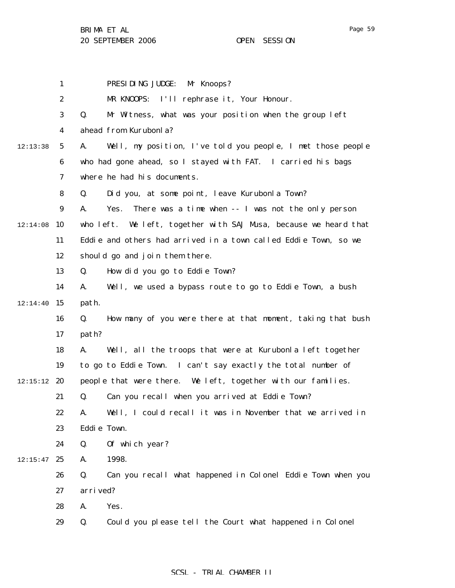1 2 3 4 5 6 7 8 9  $12:14:08$  10 11 12 13 14  $12:14:40$  15 16 17 18 19  $12:15:12$  20 21 22 23 24  $12:15:47$  25 26 27 28 29 12:13:38 PRESIDING JUDGE: Mr Knoops? MR KNOOPS: I'll rephrase it, Your Honour. Q. Mr Witness, what was your position when the group left ahead from Kurubonla? A. Well, my position, I've told you people, I met those people who had gone ahead, so I stayed with FAT. I carried his bags where he had his documents. Q. Did you, at some point, leave Kurubonla Town? A. Yes. There was a time when -- I was not the only person who left. We left, together with SAJ Musa, because we heard that Eddie and others had arrived in a town called Eddie Town, so we should go and join them there. Q. How did you go to Eddie Town? A. Well, we used a bypass route to go to Eddie Town, a bush path. Q. How many of you were there at that moment, taking that bush path? A. Well, all the troops that were at Kurubonla left together to go to Eddie Town. I can't say exactly the total number of people that were there. We left, together with our families. Q. Can you recall when you arrived at Eddie Town? A. Well, I could recall it was in November that we arrived in Eddie Town. Q. Of which year? A. 1998. Q. Can you recall what happened in Colonel Eddie Town when you arrived? A. Yes. Q. Could you please tell the Court what happened in Colonel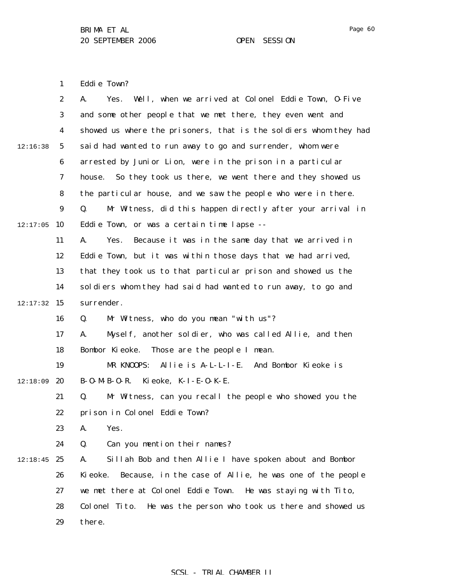1 Eddie Town?

|          | $\boldsymbol{2}$ | Well, when we arrived at Colonel Eddie Town, 0-Five<br>Yes.<br>A.   |
|----------|------------------|---------------------------------------------------------------------|
|          | 3                | and some other people that we met there, they even went and         |
|          | $\boldsymbol{4}$ | showed us where the prisoners, that is the soldiers whom they had   |
| 12:16:38 | 5                | said had wanted to run away to go and surrender, whom were          |
|          | 6                | arrested by Junior Lion, were in the prison in a particular         |
|          | 7                | So they took us there, we went there and they showed us<br>house.   |
|          | 8                | the particular house, and we saw the people who were in there.      |
|          | 9                | Mr Witness, did this happen directly after your arrival in<br>Q.    |
| 12:17:05 | 10               | Eddie Town, or was a certain time lapse --                          |
|          | 11               | Because it was in the same day that we arrived in<br>A.<br>Yes.     |
|          | 12               | Eddie Town, but it was within those days that we had arrived,       |
|          | 13               | that they took us to that particular prison and showed us the       |
|          | 14               | soldiers whom they had said had wanted to run away, to go and       |
| 12:17:32 | 15               | surrender.                                                          |
|          | 16               | Mr Witness, who do you mean "with us"?<br>Q.                        |
|          | 17               | Myself, another soldier, who was called Allie, and then<br>A.       |
|          | 18               | Bombor Kieoke.<br>Those are the people I mean.                      |
|          | 19               | And Bombor Kieoke is<br>MR KNOOPS:<br>Allie is A-L-L-I-E.           |
| 12:18:09 | 20               | Ki eoke, K-I-E-O-K-E.<br>$B - 0 - M - B - 0 - R$ .                  |
|          | 21               | Q.<br>Mr Witness, can you recall the people who showed you the      |
|          | 22               | prison in Colonel Eddie Town?                                       |
|          | 23               | A.<br>Yes.                                                          |
|          | 24               | Q.<br>Can you mention their names?                                  |
| 12:18:45 | 25               | Sillah Bob and then Allie I have spoken about and Bombor<br>A.      |
|          | 26               | Because, in the case of Allie, he was one of the people<br>Ki eoke. |
|          | 27               | we met there at Colonel Eddie Town. He was staying with Tito,       |
|          | 28               | He was the person who took us there and showed us<br>Colonel Tito.  |
|          | 29               | there.                                                              |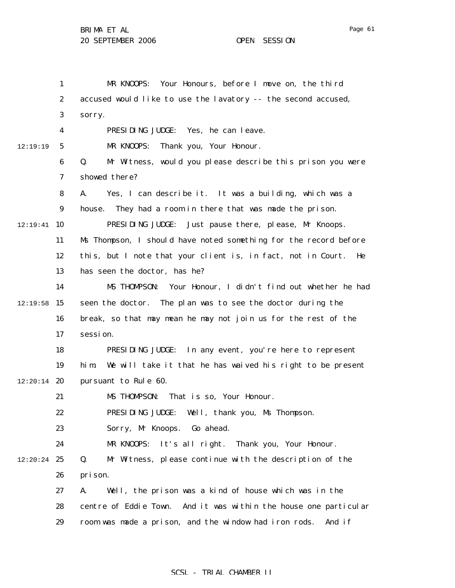1 2 3 4 5 6 7 8 9  $12:19:41$  10 11 12 13 14  $12:19:58$  15 16 17 18 19  $12:20:14$  20 21 22 23 24  $12:20:24$  25 26 27 28 29 12:19:19 MR KNOOPS: Your Honours, before I move on, the third accused would like to use the lavatory -- the second accused, sorry. PRESIDING JUDGE: Yes, he can leave. MR KNOOPS: Thank you, Your Honour. Q. Mr Witness, would you please describe this prison you were showed there? A. Yes, I can describe it. It was a building, which was a house. They had a room in there that was made the prison. PRESIDING JUDGE: Just pause there, please, Mr Knoops. Ms Thompson, I should have noted something for the record before this, but I note that your client is, in fact, not in Court. He has seen the doctor, has he? MS THOMPSON: Your Honour, I didn't find out whether he had seen the doctor. The plan was to see the doctor during the break, so that may mean he may not join us for the rest of the session. PRESIDING JUDGE: In any event, you're here to represent him. We will take it that he has waived his right to be present pursuant to Rule 60. MS THOMPSON: That is so, Your Honour. PRESIDING JUDGE: Well, thank you, Ms Thompson. Sorry, Mr Knoops. Go ahead. MR KNOOPS: It's all right. Thank you, Your Honour. Q. Mr Witness, please continue with the description of the prison. A. Well, the prison was a kind of house which was in the centre of Eddie Town. And it was within the house one particular room was made a prison, and the window had iron rods. And if

### SCSL - TRIAL CHAMBER II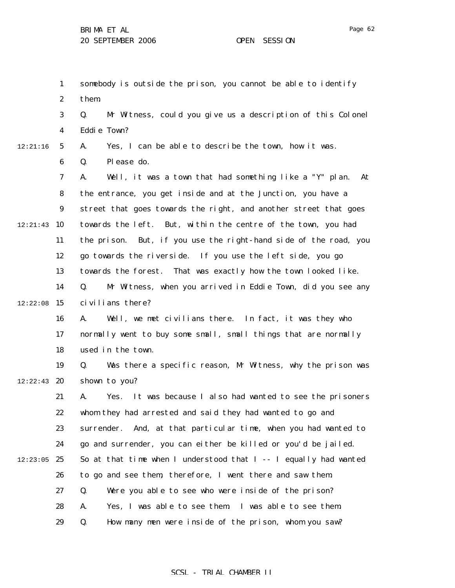1 2 3 4 5 6 7 8 9 12:21:43 10 11 12 13 14  $12:22:08$  15 16 17 18 19  $12:22:43$  20 21 22 23 24  $12:23:05$  25 26 27 28 29 12:21:16 somebody is outside the prison, you cannot be able to identify them. Q. Mr Witness, could you give us a description of this Colonel Eddie Town? A. Yes, I can be able to describe the town, how it was. Q. Please do. A. Well, it was a town that had something like a "Y" plan. At the entrance, you get inside and at the Junction, you have a street that goes towards the right, and another street that goes towards the left. But, within the centre of the town, you had the prison. But, if you use the right-hand side of the road, you go towards the riverside. If you use the left side, you go towards the forest. That was exactly how the town looked like. Q. Mr Witness, when you arrived in Eddie Town, did you see any civilians there? A. Well, we met civilians there. In fact, it was they who normally went to buy some small, small things that are normally used in the town. Q. Was there a specific reason, Mr Witness, why the prison was shown to you? A. Yes. It was because I also had wanted to see the prisoners whom they had arrested and said they had wanted to go and surrender. And, at that particular time, when you had wanted to go and surrender, you can either be killed or you'd be jailed. So at that time when I understood that I -- I equally had wanted to go and see them, therefore, I went there and saw them. Q. Were you able to see who were inside of the prison? A. Yes, I was able to see them. I was able to see them. Q. How many men were inside of the prison, whom you saw?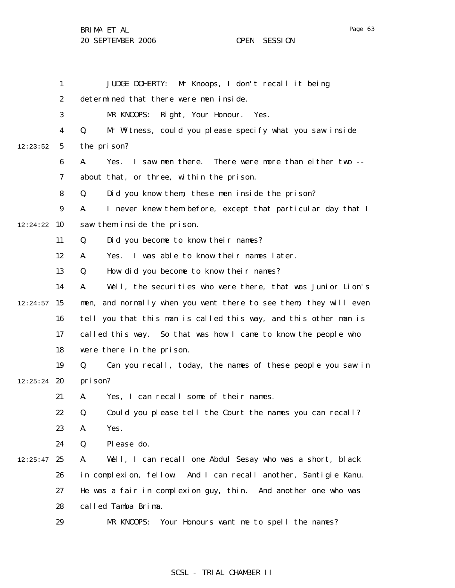BRIMA ET AL

20 SEPTEMBER 2006 OPEN SESSION

|          | $\mathbf{1}$     | <b>JUDGE DOHERTY:</b><br>Mr Knoops, I don't recall it being          |
|----------|------------------|----------------------------------------------------------------------|
|          | 2                | determined that there were men inside.                               |
|          | 3                | Right, Your Honour. Yes.<br>MR KNOOPS:                               |
|          | 4                | Mr Witness, could you please specify what you saw inside<br>Q.       |
| 12:23:52 | $\sqrt{5}$       | the prison?                                                          |
|          | 6                | I saw men there.<br>There were more than either two --<br>Yes.<br>A. |
|          | 7                | about that, or three, within the prison.                             |
|          | 8                | Did you know them, these men inside the prison?<br>Q.                |
|          | $\boldsymbol{9}$ | I never knew them before, except that particular day that I<br>A.    |
| 12:24:22 | 10               | saw them inside the prison.                                          |
|          | 11               | Did you become to know their names?<br>Q.                            |
|          | 12               | Yes. I was able to know their names later.<br>A.                     |
|          | 13               | How did you become to know their names?<br>Q.                        |
|          | 14               | Well, the securities who were there, that was Junior Lion's<br>A.    |
| 12:24:57 | 15               | and normally when you went there to see them, they will even<br>men, |
|          | 16               | tell you that this man is called this way, and this other man is     |
|          | 17               | called this way. So that was how I came to know the people who       |
|          | 18               | were there in the prison.                                            |
|          | 19               | Can you recall, today, the names of these people you saw in<br>Q.    |
| 12:25:24 | 20               | prison?                                                              |
|          | 21               | Yes, I can recall some of their names.<br>A.                         |
|          | 22               | Could you please tell the Court the names you can recall?<br>Q.      |
|          | 23               | Yes.<br>A.                                                           |
|          | 24               | Please do.<br>Q.                                                     |
| 12:25:47 | 25               | Well, I can recall one Abdul Sesay who was a short, black<br>A.      |
|          | 26               | in complexion, fellow. And I can recall another, Santigie Kanu.      |
|          | 27               | He was a fair in complexion guy, thin. And another one who was       |
|          | 28               | called Tamba Brima.                                                  |
|          | 29               | Your Honours want me to spell the names?<br>MR KNOOPS:               |

# SCSL - TRIAL CHAMBER II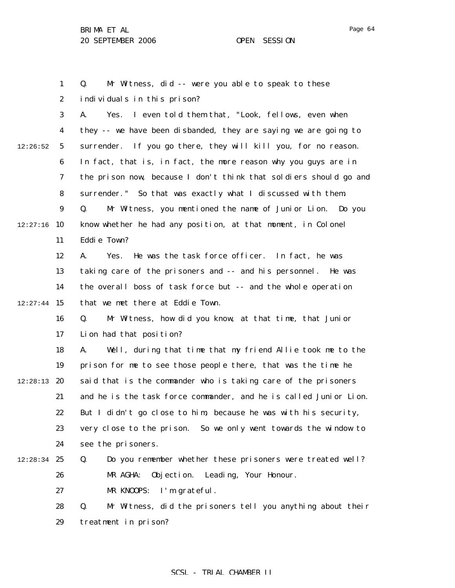individuals in this prison?

1

2

Page 64

3 4 5 6 7 8 9  $12:27:16$  10 11 12 13 14  $12:27:44$  15 16 17 18 19  $12:28:13$  20 12:26:52 A. Yes. I even told them that, "Look, fellows, even when they -- we have been disbanded, they are saying we are going to surrender. If you go there, they will kill you, for no reason. In fact, that is, in fact, the more reason why you guys are in the prison now, because I don't think that soldiers should go and surrender." So that was exactly what I discussed with them. Q. Mr Witness, you mentioned the name of Junior Lion. Do you know whether he had any position, at that moment, in Colonel Eddie Town? A. Yes. He was the task force officer. In fact, he was taking care of the prisoners and -- and his personnel. He was the overall boss of task force but -- and the whole operation that we met there at Eddie Town. Q. Mr Witness, how did you know, at that time, that Junior Lion had that position? A. Well, during that time that my friend Allie took me to the prison for me to see those people there, that was the time he said that is the commander who is taking care of the prisoners

Q. Mr Witness, did -- were you able to speak to these

21 22 23 24 and he is the task force commander, and he is called Junior Lion. But I didn't go close to him, because he was with his security, very close to the prison. So we only went towards the window to see the prisoners.

#### $12:28:34$  25 26 27 Q. Do you remember whether these prisoners were treated well? MR AGHA: Objection. Leading, Your Honour. MR KNOOPS: I'm grateful.

28 29 Q. Mr Witness, did the prisoners tell you anything about their treatment in prison?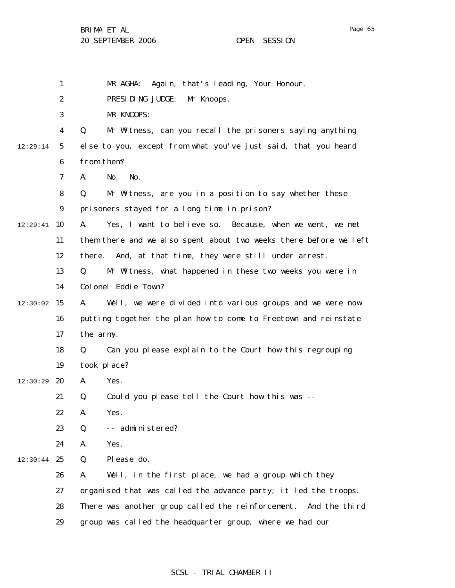|          | $\mathbf{1}$     | Again, that's leading, Your Honour.<br>MR AGHA:                   |
|----------|------------------|-------------------------------------------------------------------|
|          | $\boldsymbol{2}$ | PRESIDING JUDGE:<br>Mr Knoops.                                    |
|          | 3                | MR KNOOPS:                                                        |
|          | $\boldsymbol{4}$ | Mr Witness, can you recall the prisoners saying anything<br>Q.    |
| 12:29:14 | $\mathbf{5}$     | else to you, except from what you've just said, that you heard    |
|          | 6                | from them?                                                        |
|          | 7                | No.<br>No.<br>A.                                                  |
|          | 8                | Q.<br>Mr Witness, are you in a position to say whether these      |
|          | $\boldsymbol{9}$ | prisoners stayed for a long time in prison?                       |
| 12:29:41 | 10               | Yes, I want to believe so. Because, when we went, we met<br>A.    |
|          | 11               | them there and we also spent about two weeks there before we left |
|          | 12               | And, at that time, they were still under arrest.<br>there.        |
|          | 13               | Mr Witness, what happened in these two weeks you were in<br>Q.    |
|          | 14               | Colonel Eddie Town?                                               |
| 12:30:02 | 15               | Well, we were divided into various groups and we were now<br>A.   |
|          | 16               | putting together the plan how to come to Freetown and reinstate   |
|          | 17               | the army.                                                         |
|          | 18               | Can you please explain to the Court how this regrouping<br>Q.     |
|          | 19               | took place?                                                       |
| 12:30:29 | 20               | Yes.<br>A.                                                        |
|          | 21               | Could you please tell the Court how this was --<br>Q.             |
|          | 22               | Yes.<br>A.                                                        |
|          | 23               | -- administered?<br>Q.                                            |
|          | 24               | Yes.<br>A.                                                        |
| 12:30:44 | 25               | Please do.<br>Q.                                                  |
|          | 26               | Well, in the first place, we had a group which they<br>A.         |
|          | 27               | organised that was called the advance party; it led the troops.   |
|          | 28               | There was another group called the reinforcement. And the third   |
|          | 29               | group was called the headquarter group, where we had our          |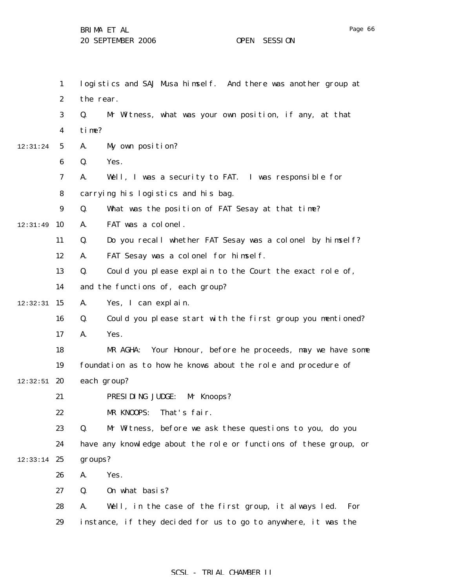|          | $\mathbf{1}$     | logistics and SAJ Musa himself. And there was another group at    |
|----------|------------------|-------------------------------------------------------------------|
|          | $\boldsymbol{2}$ | the rear.                                                         |
|          | 3                | Mr Witness, what was your own position, if any, at that<br>Q.     |
|          | 4                | time?                                                             |
| 12:31:24 | $\mathbf{5}$     | A.<br>My own position?                                            |
|          | 6                | Yes.<br>Q.                                                        |
|          | 7                | Well, I was a security to FAT. I was responsible for<br>A.        |
|          | 8                | carrying his logistics and his bag.                               |
|          | $\boldsymbol{9}$ | Q.<br>What was the position of FAT Sesay at that time?            |
| 12:31:49 | 10               | FAT was a colonel.<br>A.                                          |
|          | 11               | Do you recall whether FAT Sesay was a colonel by himself?<br>Q.   |
|          | 12               | FAT Sesay was a colonel for himself.<br>A.                        |
|          | 13               | Q.<br>Could you please explain to the Court the exact role of,    |
|          | 14               | and the functions of, each group?                                 |
| 12:32:31 | 15               | Yes, I can explain.<br>A.                                         |
|          | 16               | Could you please start with the first group you mentioned?<br>Q.  |
|          | 17               | A.<br>Yes.                                                        |
|          | 18               | MR AGHA:<br>Your Honour, before he proceeds, may we have some     |
|          | 19               | foundation as to how he knows about the role and procedure of     |
| 12:32:51 | 20               | each group?                                                       |
|          | 21               | PRESIDING JUDGE:<br>Mr Knoops?                                    |
|          | 22               | MR KNOOPS:<br>That's fair.                                        |
|          | 23               | Q.<br>Mr Witness, before we ask these questions to you, do you    |
|          | 24               | have any knowledge about the role or functions of these group, or |
| 12:33:14 | 25               | groups?                                                           |
|          | 26               | Yes.<br>A.                                                        |
|          | 27               | On what basis?<br>Q.                                              |
|          | 28               | Well, in the case of the first group, it always led.<br>A.<br>For |
|          | 29               | instance, if they decided for us to go to anywhere, it was the    |

# SCSL - TRIAL CHAMBER II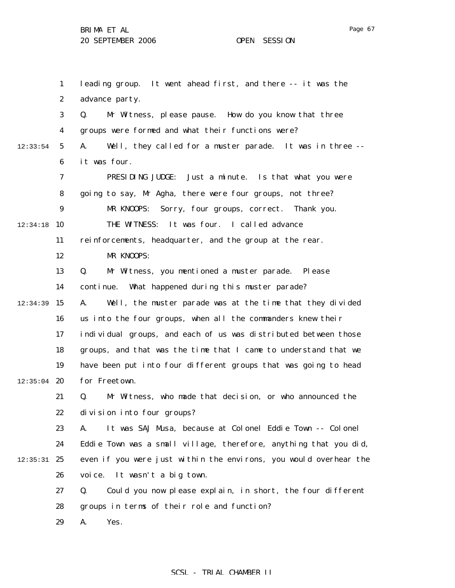1 2 3 4 5 6 7 8 9  $12:34:18$  10 11 12 13 14  $12:34:39$  15 16 17 18 19  $12:35:04$  20 21 22 23 24  $12:35:31$  25 26 27 28 29 12:33:54 leading group. It went ahead first, and there -- it was the advance party. Q. Mr Witness, please pause. How do you know that three groups were formed and what their functions were? A. Well, they called for a muster parade. It was in three - it was four. PRESIDING JUDGE: Just a minute. Is that what you were going to say, Mr Agha, there were four groups, not three? MR KNOOPS: Sorry, four groups, correct. Thank you. THE WITNESS: It was four. I called advance reinforcements, headquarter, and the group at the rear. MR KNOOPS: Q. Mr Witness, you mentioned a muster parade. Please continue. What happened during this muster parade? A. Well, the muster parade was at the time that they divided us into the four groups, when all the commanders knew their individual groups, and each of us was distributed between those groups, and that was the time that I came to understand that we have been put into four different groups that was going to head for Freetown. Q. Mr Witness, who made that decision, or who announced the division into four groups? A. It was SAJ Musa, because at Colonel Eddie Town -- Colonel Eddie Town was a small village, therefore, anything that you did, even if you were just within the environs, you would overhear the voice. It wasn't a big town. Q. Could you now please explain, in short, the four different groups in terms of their role and function? A. Yes.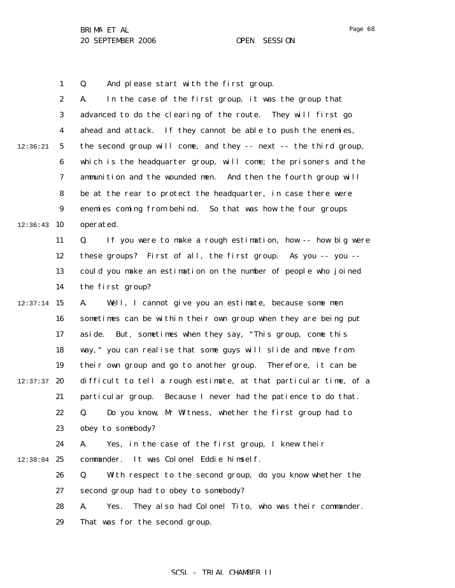1 Q. And please start with the first group.

|          | $\boldsymbol{2}$ | In the case of the first group, it was the group that<br>A.        |
|----------|------------------|--------------------------------------------------------------------|
|          | 3                | advanced to do the clearing of the route. They will first go       |
|          | $\boldsymbol{4}$ | ahead and attack. If they cannot be able to push the enemies,      |
| 12:36:21 | $\mathbf{5}$     | the second group will come, and they -- next -- the third group,   |
|          | $\boldsymbol{6}$ | which is the headquarter group, will come; the prisoners and the   |
|          | $\boldsymbol{7}$ | ammunition and the wounded men. And then the fourth group will     |
|          | 8                | be at the rear to protect the headquarter, in case there were      |
|          | $\boldsymbol{9}$ | enemies coming from behind. So that was how the four groups        |
| 12:36:43 | 10               | operated.                                                          |
|          | 11               | If you were to make a rough estimation, how -- how big were<br>Q.  |
|          | 12               | these groups? First of all, the first group. As you -- you --      |
|          | 13               | could you make an estimation on the number of people who joined    |
|          | 14               | the first group?                                                   |
| 12:37:14 | 15               | A.<br>Well, I cannot give you an estimate, because some men        |
|          | 16               | sometimes can be within their own group when they are being put    |
|          | 17               | aside. But, sometimes when they say, "This group, come this        |
|          | 18               | way," you can realise that some guys will slide and move from      |
|          | 19               | their own group and go to another group. Therefore, it can be      |
| 12:37:37 | 20               | difficult to tell a rough estimate, at that particular time, of a  |
|          | 21               | particular group. Because I never had the patience to do that.     |
|          | 22               | Do you know, Mr Witness, whether the first group had to<br>Q.      |
|          | 23               | obey to somebody?                                                  |
|          | 24               | Yes, in the case of the first group, I knew their<br>A.            |
| 12:38:04 | 25               | It was Colonel Eddie himself.<br>commander.                        |
|          | 26               | Q.<br>With respect to the second group, do you know whether the    |
|          | 27               | second group had to obey to somebody?                              |
|          | 28               | They also had Colonel Tito, who was their commander.<br>Yes.<br>A. |
|          | 29               | That was for the second group.                                     |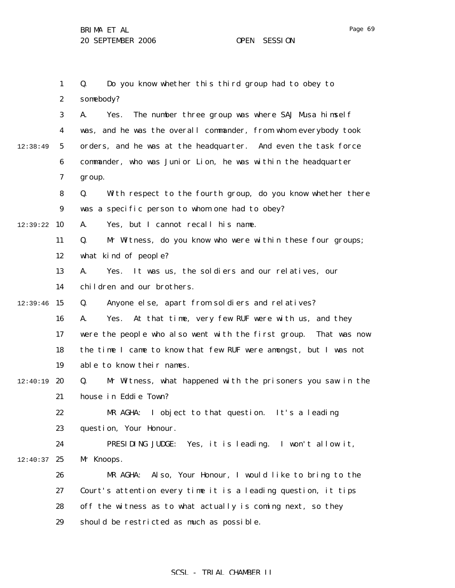|          | $\mathbf{1}$     | Do you know whether this third group had to obey to<br>Q.           |
|----------|------------------|---------------------------------------------------------------------|
|          | $\boldsymbol{2}$ | somebody?                                                           |
|          | 3                | The number three group was where SAJ Musa himself<br>Yes.<br>A.     |
|          | 4                | was, and he was the overall commander, from whom everybody took     |
| 12:38:49 | 5                | orders, and he was at the headquarter. And even the task force      |
|          | 6                | commander, who was Junior Lion, he was within the headquarter       |
|          | 7                | group.                                                              |
|          | 8                | With respect to the fourth group, do you know whether there<br>Q.   |
|          | $\boldsymbol{9}$ | was a specific person to whom one had to obey?                      |
| 12:39:22 | 10               | Yes, but I cannot recall his name.<br>A.                            |
|          | 11               | Mr Witness, do you know who were within these four groups;<br>Q.    |
|          | 12               | what kind of people?                                                |
|          | 13               | It was us, the soldiers and our relatives, our<br>A.<br>Yes.        |
|          | 14               | children and our brothers.                                          |
| 12:39:46 | 15               | Anyone else, apart from soldiers and relatives?<br>Q.               |
|          | 16               | At that time, very few RUF were with us, and they<br>Yes.<br>A.     |
|          | 17               | were the people who also went with the first group.<br>That was now |
|          | 18               | the time I came to know that few RUF were amongst, but I was not    |
|          | 19               | able to know their names.                                           |
| 12:40:19 | 20               | Mr Witness, what happened with the prisoners you saw in the<br>Q.   |
|          | 21               | house in Eddie Town?                                                |
|          | 22               | I object to that question. It's a leading<br>MR AGHA:               |
|          | 23               | question, Your Honour.                                              |
|          | 24               | PRESIDING JUDGE:<br>Yes, it is leading. I won't allow it,           |
| 12:40:37 | 25               | Mr Knoops.                                                          |
|          | 26               | Also, Your Honour, I would like to bring to the<br>MR AGHA:         |
|          | 27               | Court's attention every time it is a leading question, it tips      |
|          | 28               | off the witness as to what actually is coming next, so they         |
|          | 29               | should be restricted as much as possible.                           |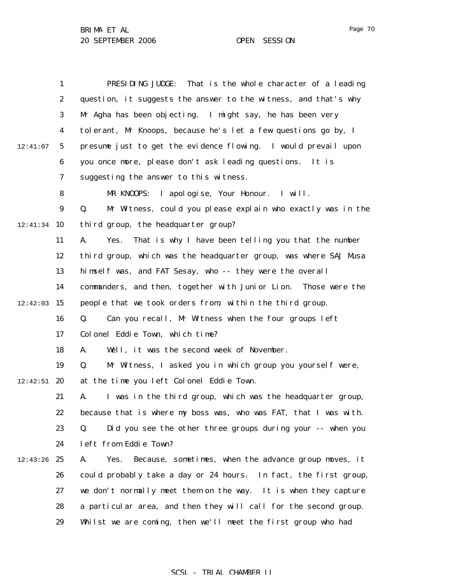|          | 1                | PRESIDING JUDGE:<br>That is the whole character of a leading       |
|----------|------------------|--------------------------------------------------------------------|
|          | $\boldsymbol{2}$ | question, it suggests the answer to the witness, and that's why    |
|          | 3                | Mr Agha has been objecting. I might say, he has been very          |
|          | $\boldsymbol{4}$ | tolerant, Mr Knoops, because he's let a few questions go by, I     |
| 12:41:07 | 5                | presume just to get the evidence flowing. I would prevail upon     |
|          | 6                | you once more, please don't ask leading questions. It is           |
|          | 7                | suggesting the answer to this witness.                             |
|          | 8                | MR KNOOPS: I apologise, Your Honour. I will.                       |
|          | 9                | Mr Witness, could you please explain who exactly was in the<br>Q.  |
| 12:41:34 | 10               | third group, the headquarter group?                                |
|          | 11               | That is why I have been telling you that the number<br>A.<br>Yes.  |
|          | 12               | third group, which was the headquarter group, was where SAJ Musa   |
|          | 13               | himself was, and FAT Sesay, who -- they were the overall           |
|          | 14               | commanders, and then, together with Junior Lion. Those were the    |
| 12:42:03 | 15               | people that we took orders from, within the third group.           |
|          | 16               | Can you recall, Mr Witness when the four groups left<br>Q.         |
|          | 17               | Colonel Eddie Town, which time?                                    |
|          | 18               | Well, it was the second week of November.<br>A.                    |
|          | 19               | Mr Witness, I asked you in which group you yourself were,<br>Q.    |
| 12:42:51 | 20               | at the time you left Colonel Eddie Town.                           |
|          | 21               | I was in the third group, which was the headquarter group,<br>A.   |
|          | 22               | because that is where my boss was, who was FAT, that I was with.   |
|          | 23               | Did you see the other three groups during your -- when you<br>Q.   |
|          | 24               | left from Eddie Town?                                              |
| 12:43:26 | 25               | Because, sometimes, when the advance group moves, it<br>A.<br>Yes. |
|          | 26               | could probably take a day or 24 hours. In fact, the first group,   |
|          | 27               | we don't normally meet them on the way. It is when they capture    |
|          | 28               | a particular area, and then they will call for the second group.   |
|          | 29               | Whilst we are coming, then we'll meet the first group who had      |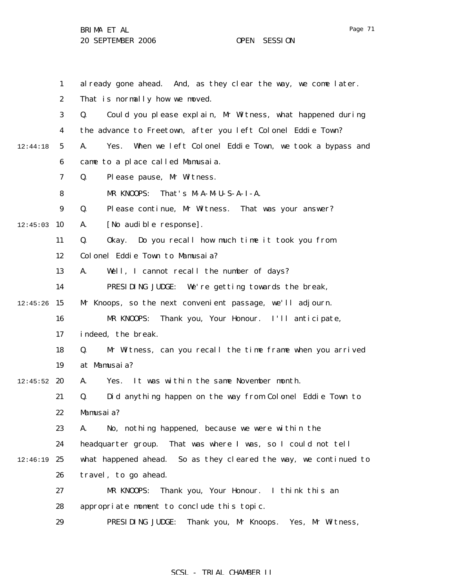|          | $\mathbf{1}$     | al ready gone ahead. And, as they clear the way, we come later.     |
|----------|------------------|---------------------------------------------------------------------|
|          | $\boldsymbol{2}$ | That is normally how we moved.                                      |
|          | 3                | Q.<br>Could you please explain, Mr Witness, what happened during    |
|          | $\boldsymbol{4}$ | the advance to Freetown, after you left Colonel Eddie Town?         |
| 12:44:18 | $5\phantom{.0}$  | When we left Colonel Eddie Town, we took a bypass and<br>A.<br>Yes. |
|          | 6                | came to a place called Mamusaia.                                    |
|          | 7                | Please pause, Mr Witness.<br>Q.                                     |
|          | 8                | That's $M - A - M - U - S - A - I - A$ .<br>MR KNOOPS:              |
|          | $\boldsymbol{9}$ | Q.<br>Please continue, Mr Witness. That was your answer?            |
| 12:45:03 | 10               | [No audible response].<br>A.                                        |
|          | 11               | Q.<br>Do you recall how much time it took you from<br>0kay.         |
|          | 12               | Colonel Eddie Town to Mamusaia?                                     |
|          | 13               | A.<br>Well, I cannot recall the number of days?                     |
|          | 14               | PRESIDING JUDGE:<br>We're getting towards the break,                |
| 12:45:26 | 15               | Mr Knoops, so the next convenient passage, we'll adjourn.           |
|          | 16               | MR KNOOPS:<br>Thank you, Your Honour. I'll anticipate,              |
|          | 17               | indeed, the break.                                                  |
|          | 18               | Mr Witness, can you recall the time frame when you arrived<br>Q.    |
|          | 19               | at Mamusaia?                                                        |
| 12:45:52 | 20               | It was within the same November month.<br>A.<br>Yes.                |
|          | 21               | Q.<br>Did anything happen on the way from Colonel Eddie Town to     |
|          | 22               | Mamusai a?                                                          |
|          | 23               | No, nothing happened, because we were within the<br>A.              |
|          | 24               | headquarter group.<br>That was where I was, so I could not tell     |
| 12:46:19 | 25               | what happened ahead. So as they cleared the way, we continued to    |
|          | 26               | travel, to go ahead.                                                |
|          | 27               | MR KNOOPS:<br>Thank you, Your Honour. I think this an               |
|          | 28               | appropriate moment to conclude this topic.                          |
|          | 29               | Thank you, Mr Knoops. Yes, Mr Witness,<br>PRESIDING JUDGE:          |

# SCSL - TRIAL CHAMBER II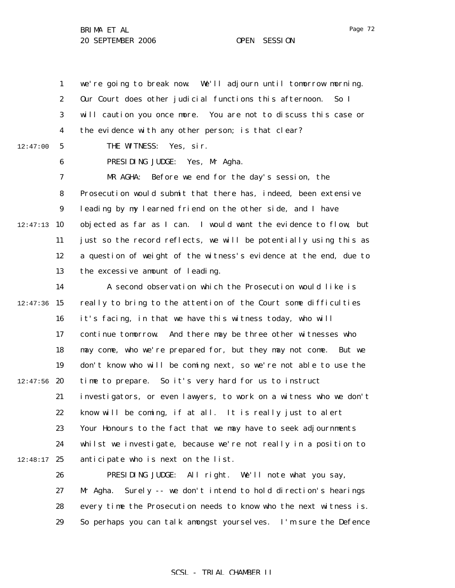1 2 3 4 5 6 7 8 9  $12:47:13$  10 11 12 13 14  $12:47:36$  15 12:47:00 we're going to break now. We'll adjourn until tomorrow morning. Our Court does other judicial functions this afternoon. So I will caution you once more. You are not to discuss this case or the evidence with any other person; is that clear? THE WITNESS: Yes, sir. PRESIDING JUDGE: Yes, Mr Agha. MR AGHA: Before we end for the day's session, the Prosecution would submit that there has, indeed, been extensive leading by my learned friend on the other side, and I have objected as far as I can. I would want the evidence to flow, but just so the record reflects, we will be potentially using this as a question of weight of the witness's evidence at the end, due to the excessive amount of leading. A second observation which the Prosecution would like is really to bring to the attention of the Court some difficulties

16 17 18 19  $12:47:56$  20 21 22 23 24  $12:48:17$  25 it's facing, in that we have this witness today, who will continue tomorrow. And there may be three other witnesses who may come, who we're prepared for, but they may not come. But we don't know who will be coming next, so we're not able to use the time to prepare. So it's very hard for us to instruct investigators, or even lawyers, to work on a witness who we don't know will be coming, if at all. It is really just to alert Your Honours to the fact that we may have to seek adjournments whilst we investigate, because we're not really in a position to anticipate who is next on the list.

> 26 27 28 29 PRESIDING JUDGE: All right. We'll note what you say, Mr Agha. Surely -- we don't intend to hold direction's hearings every time the Prosecution needs to know who the next witness is. So perhaps you can talk amongst yourselves. I'm sure the Defence

### Page 72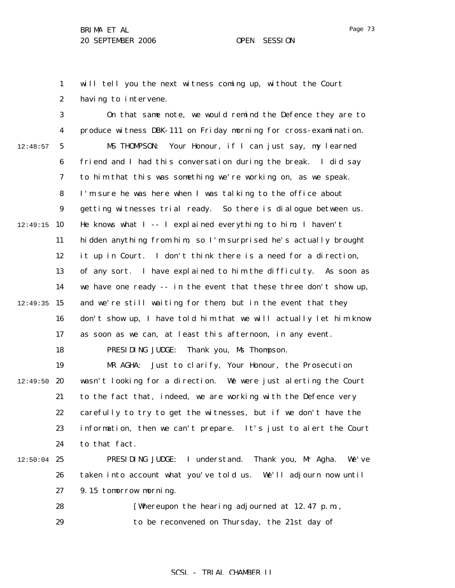1 2 will tell you the next witness coming up, without the Court having to intervene.

3 4 5 6 7 8 9  $12:49:15$  10 11 12 13 14  $12:49:35$  15 16 17 18 19  $12:49:50$  20 21 22 23 24  $12:50:04$  25 26 27 28 12:48:57 On that same note, we would remind the Defence they are to produce witness DBK-111 on Friday morning for cross-examination. MS THOMPSON: Your Honour, if I can just say, my learned friend and I had this conversation during the break. I did say to him that this was something we're working on, as we speak. I'm sure he was here when I was talking to the office about getting witnesses trial ready. So there is dialogue between us. He knows what I -- I explained everything to him; I haven't hidden anything from him, so I'm surprised he's actually brought it up in Court. I don't think there is a need for a direction, of any sort. I have explained to him the difficulty. As soon as we have one ready -- in the event that these three don't show up, and we're still waiting for them, but in the event that they don't show up, I have told him that we will actually let him know as soon as we can, at least this afternoon, in any event. PRESIDING JUDGE: Thank you, Ms Thompson. MR AGHA: Just to clarify, Your Honour, the Prosecution wasn't looking for a direction. We were just alerting the Court to the fact that, indeed, we are working with the Defence very carefully to try to get the witnesses, but if we don't have the information, then we can't prepare. It's just to alert the Court to that fact. PRESIDING JUDGE: I understand. Thank you, Mr Agha. We've taken into account what you've told us. We'll adjourn now until 9.15 tomorrow morning. [Whereupon the hearing adjourned at 12.47 p.m.,

> 29 to be reconvened on Thursday, the 21st day of

## SCSL - TRIAL CHAMBER II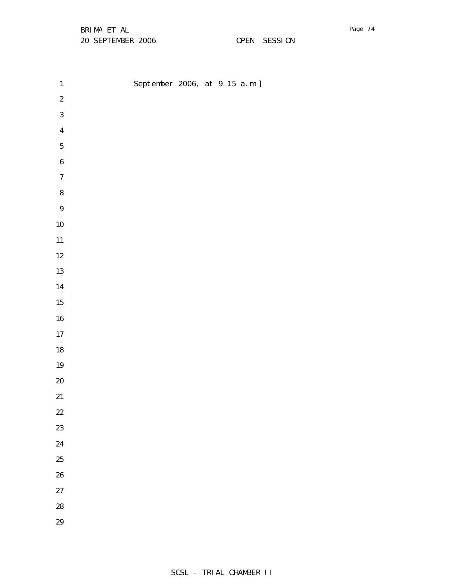BRIMA ET AL 20 SEPTEMBER 2006 OPEN SESSION